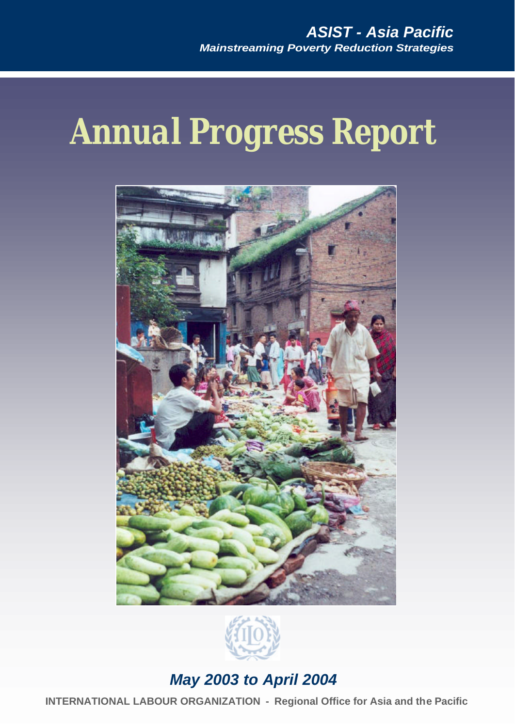# *Annual Progress Report*





# *May 2003 to April 2004*

**INTERNATIONAL LABOUR ORGANIZATION - Regional Office for Asia and the Pacific**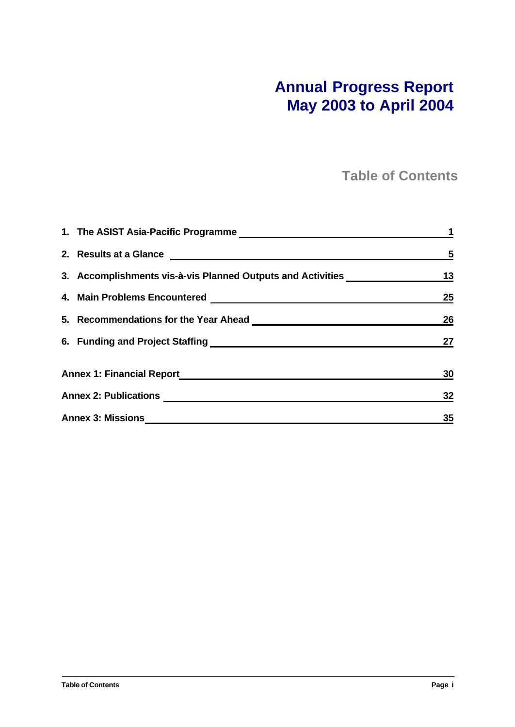# **Annual Progress Report May 2003 to April 2004**

**Table of Contents**

|                                                             | $\overline{\mathbf{5}}$ |
|-------------------------------------------------------------|-------------------------|
| 3. Accomplishments vis-à-vis Planned Outputs and Activities | 13                      |
|                                                             | 25                      |
|                                                             | 26                      |
|                                                             | 27                      |
|                                                             | 30                      |
|                                                             | 32                      |
| <b>Annex 3: Missions</b>                                    | 35                      |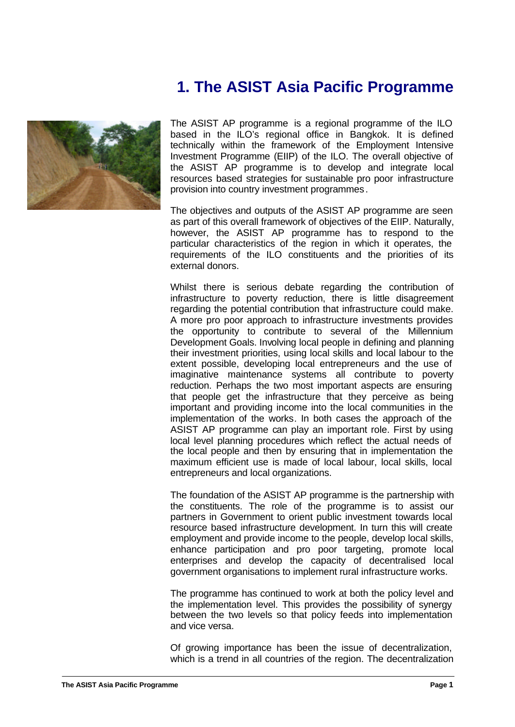# **1. The ASIST Asia Pacific Programme**



The ASIST AP programme is a regional programme of the ILO based in the ILO's regional office in Bangkok. It is defined technically within the framework of the Employment Intensive Investment Programme (EIIP) of the ILO. The overall objective of the ASIST AP programme is to develop and integrate local resources based strategies for sustainable pro poor infrastructure provision into country investment programmes.

The objectives and outputs of the ASIST AP programme are seen as part of this overall framework of objectives of the EIIP. Naturally, however, the ASIST AP programme has to respond to the particular characteristics of the region in which it operates, the requirements of the ILO constituents and the priorities of its external donors.

Whilst there is serious debate regarding the contribution of infrastructure to poverty reduction, there is little disagreement regarding the potential contribution that infrastructure could make. A more pro poor approach to infrastructure investments provides the opportunity to contribute to several of the Millennium Development Goals. Involving local people in defining and planning their investment priorities, using local skills and local labour to the extent possible, developing local entrepreneurs and the use of imaginative maintenance systems all contribute to poverty reduction. Perhaps the two most important aspects are ensuring that people get the infrastructure that they perceive as being important and providing income into the local communities in the implementation of the works. In both cases the approach of the ASIST AP programme can play an important role. First by using local level planning procedures which reflect the actual needs of the local people and then by ensuring that in implementation the maximum efficient use is made of local labour, local skills, local entrepreneurs and local organizations.

The foundation of the ASIST AP programme is the partnership with the constituents. The role of the programme is to assist our partners in Government to orient public investment towards local resource based infrastructure development. In turn this will create employment and provide income to the people, develop local skills, enhance participation and pro poor targeting, promote local enterprises and develop the capacity of decentralised local government organisations to implement rural infrastructure works.

The programme has continued to work at both the policy level and the implementation level. This provides the possibility of synergy between the two levels so that policy feeds into implementation and vice versa.

Of growing importance has been the issue of decentralization, which is a trend in all countries of the region. The decentralization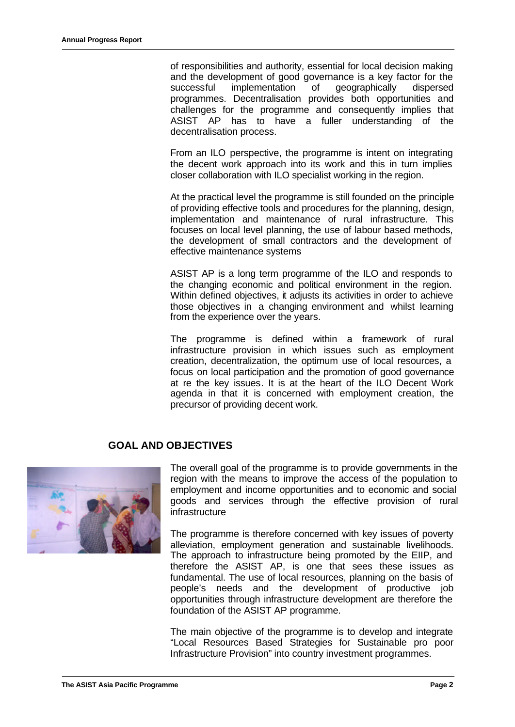of responsibilities and authority, essential for local decision making and the development of good governance is a key factor for the successful implementation of geographically dispersed programmes. Decentralisation provides both opportunities and challenges for the programme and consequently implies that ASIST AP has to have a fuller understanding of the decentralisation process.

From an ILO perspective, the programme is intent on integrating the decent work approach into its work and this in turn implies closer collaboration with ILO specialist working in the region.

At the practical level the programme is still founded on the principle of providing effective tools and procedures for the planning, design, implementation and maintenance of rural infrastructure. This focuses on local level planning, the use of labour based methods, the development of small contractors and the development of effective maintenance systems

ASIST AP is a long term programme of the ILO and responds to the changing economic and political environment in the region. Within defined objectives, it adjusts its activities in order to achieve those objectives in a changing environment and whilst learning from the experience over the years.

The programme is defined within a framework of rural infrastructure provision in which issues such as employment creation, decentralization, the optimum use of local resources, a focus on local participation and the promotion of good governance at re the key issues. It is at the heart of the ILO Decent Work agenda in that it is concerned with employment creation, the precursor of providing decent work.

# **GOAL AND OBJECTIVES**



The overall goal of the programme is to provide governments in the region with the means to improve the access of the population to employment and income opportunities and to economic and social goods and services through the effective provision of rural infrastructure

The programme is therefore concerned with key issues of poverty alleviation, employment generation and sustainable livelihoods. The approach to infrastructure being promoted by the EIIP, and therefore the ASIST AP, is one that sees these issues as fundamental. The use of local resources, planning on the basis of people's needs and the development of productive job opportunities through infrastructure development are therefore the foundation of the ASIST AP programme.

The main objective of the programme is to develop and integrate "Local Resources Based Strategies for Sustainable pro poor Infrastructure Provision" into country investment programmes.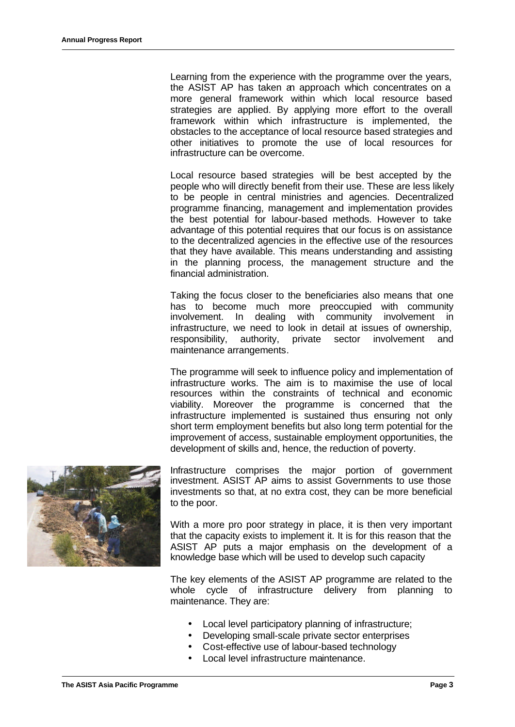Learning from the experience with the programme over the years, the ASIST AP has taken an approach which concentrates on a more general framework within which local resource based strategies are applied. By applying more effort to the overall framework within which infrastructure is implemented, the obstacles to the acceptance of local resource based strategies and other initiatives to promote the use of local resources for infrastructure can be overcome.

Local resource based strategies will be best accepted by the people who will directly benefit from their use. These are less likely to be people in central ministries and agencies. Decentralized programme financing, management and implementation provides the best potential for labour-based methods. However to take advantage of this potential requires that our focus is on assistance to the decentralized agencies in the effective use of the resources that they have available. This means understanding and assisting in the planning process, the management structure and the financial administration.

Taking the focus closer to the beneficiaries also means that one has to become much more preoccupied with community involvement. In dealing with community involvement in infrastructure, we need to look in detail at issues of ownership, responsibility, authority, private sector involvement and maintenance arrangements.

The programme will seek to influence policy and implementation of infrastructure works. The aim is to maximise the use of local resources within the constraints of technical and economic viability. Moreover the programme is concerned that the infrastructure implemented is sustained thus ensuring not only short term employment benefits but also long term potential for the improvement of access, sustainable employment opportunities, the development of skills and, hence, the reduction of poverty.



Infrastructure comprises the major portion of government investment. ASIST AP aims to assist Governments to use those investments so that, at no extra cost, they can be more beneficial to the poor.

With a more pro poor strategy in place, it is then very important that the capacity exists to implement it. It is for this reason that the ASIST AP puts a major emphasis on the development of a knowledge base which will be used to develop such capacity

The key elements of the ASIST AP programme are related to the whole cycle of infrastructure delivery from planning to maintenance. They are:

- Local level participatory planning of infrastructure;
- Developing small-scale private sector enterprises
- Cost-effective use of labour-based technology
- Local level infrastructure maintenance.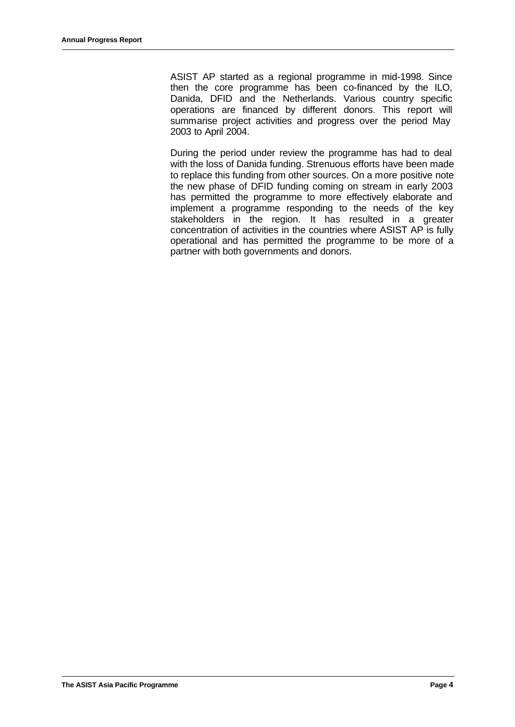ASIST AP started as a regional programme in mid-1998. Since then the core programme has been co-financed by the ILO, Danida, DFID and the Netherlands. Various country specific operations are financed by different donors. This report will summarise project activities and progress over the period May 2003 to April 2004.

During the period under review the programme has had to deal with the loss of Danida funding. Strenuous efforts have been made to replace this funding from other sources. On a more positive note the new phase of DFID funding coming on stream in early 2003 has permitted the programme to more effectively elaborate and implement a programme responding to the needs of the key stakeholders in the region. It has resulted in a greater concentration of activities in the countries where ASIST AP is fully operational and has permitted the programme to be more of a partner with both governments and donors.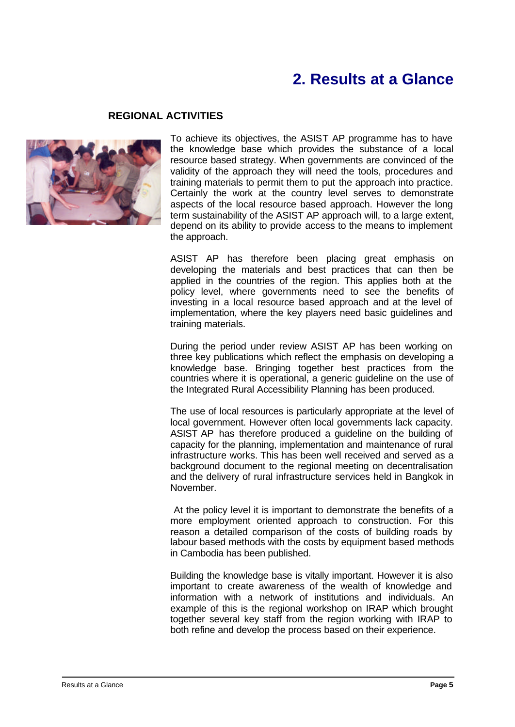# **2. Results at a Glance**

### **REGIONAL ACTIVITIES**



To achieve its objectives, the ASIST AP programme has to have the knowledge base which provides the substance of a local resource based strategy. When governments are convinced of the validity of the approach they will need the tools, procedures and training materials to permit them to put the approach into practice. Certainly the work at the country level serves to demonstrate aspects of the local resource based approach. However the long term sustainability of the ASIST AP approach will, to a large extent, depend on its ability to provide access to the means to implement the approach.

ASIST AP has therefore been placing great emphasis on developing the materials and best practices that can then be applied in the countries of the region. This applies both at the policy level, where governments need to see the benefits of investing in a local resource based approach and at the level of implementation, where the key players need basic guidelines and training materials.

During the period under review ASIST AP has been working on three key publications which reflect the emphasis on developing a knowledge base. Bringing together best practices from the countries where it is operational, a generic guideline on the use of the Integrated Rural Accessibility Planning has been produced.

The use of local resources is particularly appropriate at the level of local government. However often local governments lack capacity. ASIST AP has therefore produced a guideline on the building of capacity for the planning, implementation and maintenance of rural infrastructure works. This has been well received and served as a background document to the regional meeting on decentralisation and the delivery of rural infrastructure services held in Bangkok in November.

 At the policy level it is important to demonstrate the benefits of a more employment oriented approach to construction. For this reason a detailed comparison of the costs of building roads by labour based methods with the costs by equipment based methods in Cambodia has been published.

Building the knowledge base is vitally important. However it is also important to create awareness of the wealth of knowledge and information with a network of institutions and individuals. An example of this is the regional workshop on IRAP which brought together several key staff from the region working with IRAP to both refine and develop the process based on their experience.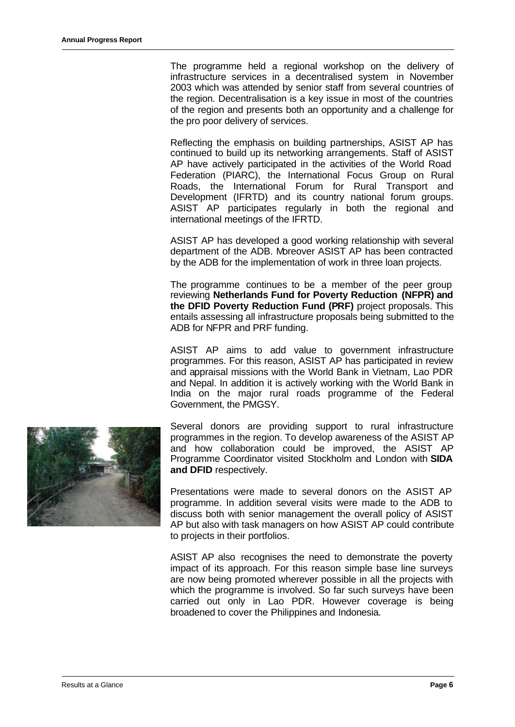The programme held a regional workshop on the delivery of infrastructure services in a decentralised system in November 2003 which was attended by senior staff from several countries of the region. Decentralisation is a key issue in most of the countries of the region and presents both an opportunity and a challenge for the pro poor delivery of services.

Reflecting the emphasis on building partnerships, ASIST AP has continued to build up its networking arrangements. Staff of ASIST AP have actively participated in the activities of the World Road Federation (PIARC), the International Focus Group on Rural Roads, the International Forum for Rural Transport and Development (IFRTD) and its country national forum groups. ASIST AP participates regularly in both the regional and international meetings of the IFRTD.

ASIST AP has developed a good working relationship with several department of the ADB. Moreover ASIST AP has been contracted by the ADB for the implementation of work in three loan projects.

The programme continues to be a member of the peer group reviewing **Netherlands Fund for Poverty Reduction (NFPR) and the DFID Poverty Reduction Fund (PRF)** project proposals. This entails assessing all infrastructure proposals being submitted to the ADB for NFPR and PRF funding.

ASIST AP aims to add value to government infrastructure programmes. For this reason, ASIST AP has participated in review and appraisal missions with the World Bank in Vietnam, Lao PDR and Nepal. In addition it is actively working with the World Bank in India on the major rural roads programme of the Federal Government, the PMGSY.



Several donors are providing support to rural infrastructure programmes in the region. To develop awareness of the ASIST AP and how collaboration could be improved, the ASIST AP Programme Coordinator visited Stockholm and London with **SIDA and DFID** respectively.

Presentations were made to several donors on the ASIST AP programme. In addition several visits were made to the ADB to discuss both with senior management the overall policy of ASIST AP but also with task managers on how ASIST AP could contribute to projects in their portfolios.

ASIST AP also recognises the need to demonstrate the poverty impact of its approach. For this reason simple base line surveys are now being promoted wherever possible in all the projects with which the programme is involved. So far such surveys have been carried out only in Lao PDR. However coverage is being broadened to cover the Philippines and Indonesia.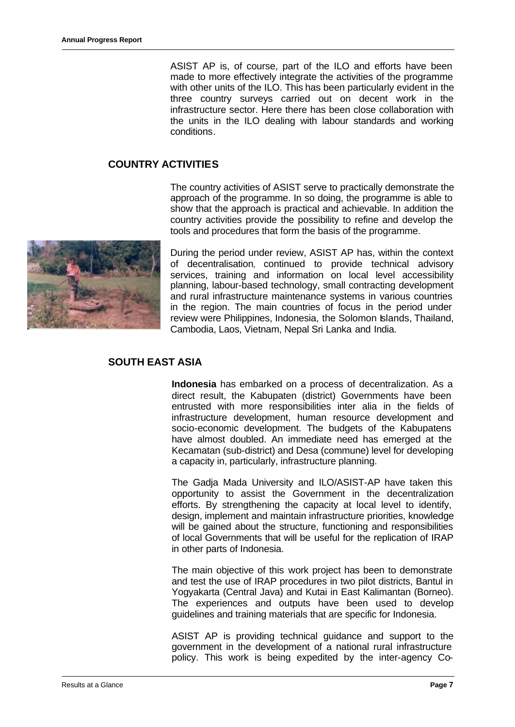ASIST AP is, of course, part of the ILO and efforts have been made to more effectively integrate the activities of the programme with other units of the ILO. This has been particularly evident in the three country surveys carried out on decent work in the infrastructure sector. Here there has been close collaboration with the units in the ILO dealing with labour standards and working conditions.

### **COUNTRY ACTIVITIES**

The country activities of ASIST serve to practically demonstrate the approach of the programme. In so doing, the programme is able to show that the approach is practical and achievable. In addition the country activities provide the possibility to refine and develop the tools and procedures that form the basis of the programme.



During the period under review, ASIST AP has, within the context of decentralisation, continued to provide technical advisory services, training and information on local level accessibility planning, labour-based technology, small contracting development and rural infrastructure maintenance systems in various countries in the region. The main countries of focus in the period under review were Philippines, Indonesia, the Solomon Islands, Thailand, Cambodia, Laos, Vietnam, Nepal Sri Lanka and India.

### **SOUTH EAST ASIA**

**Indonesia** has embarked on a process of decentralization. As a direct result, the Kabupaten (district) Governments have been entrusted with more responsibilities inter alia in the fields of infrastructure development, human resource development and socio-economic development. The budgets of the Kabupatens have almost doubled. An immediate need has emerged at the Kecamatan (sub-district) and Desa (commune) level for developing a capacity in, particularly, infrastructure planning.

The Gadja Mada University and ILO/ASIST-AP have taken this opportunity to assist the Government in the decentralization efforts. By strengthening the capacity at local level to identify, design, implement and maintain infrastructure priorities, knowledge will be gained about the structure, functioning and responsibilities of local Governments that will be useful for the replication of IRAP in other parts of Indonesia.

The main objective of this work project has been to demonstrate and test the use of IRAP procedures in two pilot districts, Bantul in Yogyakarta (Central Java) and Kutai in East Kalimantan (Borneo). The experiences and outputs have been used to develop guidelines and training materials that are specific for Indonesia.

ASIST AP is providing technical guidance and support to the government in the development of a national rural infrastructure policy. This work is being expedited by the inter-agency Co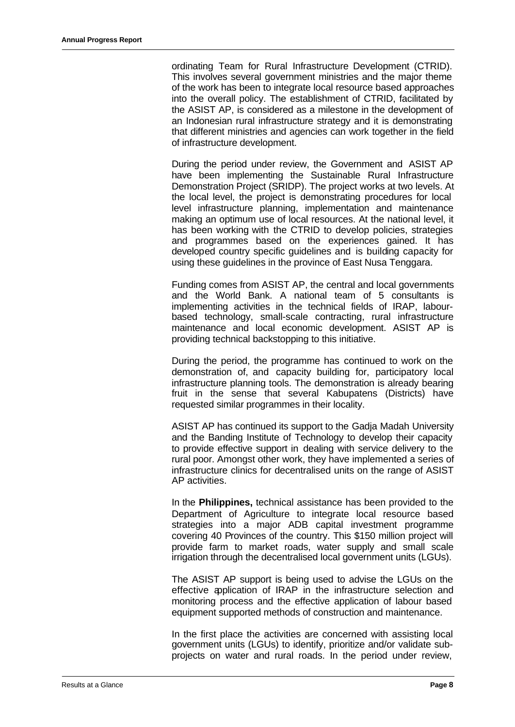ordinating Team for Rural Infrastructure Development (CTRID). This involves several government ministries and the major theme of the work has been to integrate local resource based approaches into the overall policy. The establishment of CTRID, facilitated by the ASIST AP, is considered as a milestone in the development of an Indonesian rural infrastructure strategy and it is demonstrating that different ministries and agencies can work together in the field of infrastructure development.

During the period under review, the Government and ASIST AP have been implementing the Sustainable Rural Infrastructure Demonstration Project (SRIDP). The project works at two levels. At the local level, the project is demonstrating procedures for local level infrastructure planning, implementation and maintenance making an optimum use of local resources. At the national level, it has been working with the CTRID to develop policies, strategies and programmes based on the experiences gained. It has developed country specific guidelines and is building capacity for using these guidelines in the province of East Nusa Tenggara.

Funding comes from ASIST AP, the central and local governments and the World Bank. A national team of 5 consultants is implementing activities in the technical fields of IRAP, labourbased technology, small-scale contracting, rural infrastructure maintenance and local economic development. ASIST AP is providing technical backstopping to this initiative.

During the period, the programme has continued to work on the demonstration of, and capacity building for, participatory local infrastructure planning tools. The demonstration is already bearing fruit in the sense that several Kabupatens (Districts) have requested similar programmes in their locality.

ASIST AP has continued its support to the Gadja Madah University and the Banding Institute of Technology to develop their capacity to provide effective support in dealing with service delivery to the rural poor. Amongst other work, they have implemented a series of infrastructure clinics for decentralised units on the range of ASIST AP activities.

In the **Philippines,** technical assistance has been provided to the Department of Agriculture to integrate local resource based strategies into a major ADB capital investment programme covering 40 Provinces of the country. This \$150 million project will provide farm to market roads, water supply and small scale irrigation through the decentralised local government units (LGUs).

The ASIST AP support is being used to advise the LGUs on the effective application of IRAP in the infrastructure selection and monitoring process and the effective application of labour based equipment supported methods of construction and maintenance.

In the first place the activities are concerned with assisting local government units (LGUs) to identify, prioritize and/or validate subprojects on water and rural roads. In the period under review,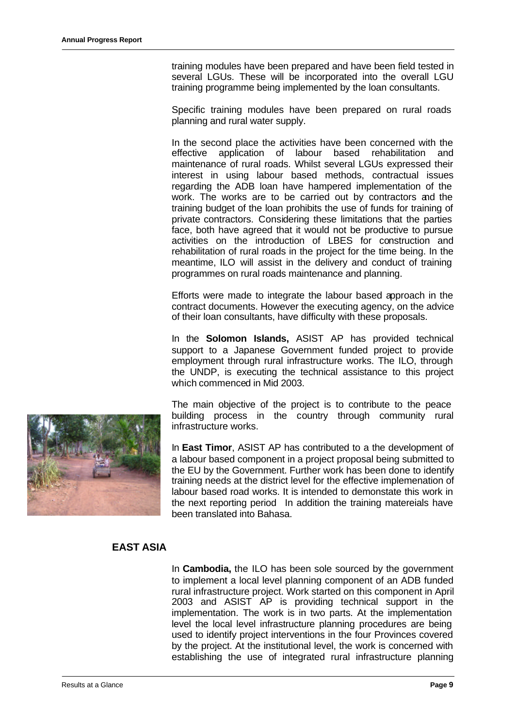training modules have been prepared and have been field tested in several LGUs. These will be incorporated into the overall LGU training programme being implemented by the loan consultants.

Specific training modules have been prepared on rural roads planning and rural water supply.

In the second place the activities have been concerned with the effective application of labour based rehabilitation and maintenance of rural roads. Whilst several LGUs expressed their interest in using labour based methods, contractual issues regarding the ADB loan have hampered implementation of the work. The works are to be carried out by contractors and the training budget of the loan prohibits the use of funds for training of private contractors. Considering these limitations that the parties face, both have agreed that it would not be productive to pursue activities on the introduction of LBES for construction and rehabilitation of rural roads in the project for the time being. In the meantime, ILO will assist in the delivery and conduct of training programmes on rural roads maintenance and planning.

Efforts were made to integrate the labour based approach in the contract documents. However the executing agency, on the advice of their loan consultants, have difficulty with these proposals.

In the **Solomon Islands,** ASIST AP has provided technical support to a Japanese Government funded project to provide employment through rural infrastructure works. The ILO, through the UNDP, is executing the technical assistance to this project which commenced in Mid 2003.

The main objective of the project is to contribute to the peace building process in the country through community rural infrastructure works.

In **East Timor**, ASIST AP has contributed to a the development of a labour based component in a project proposal being submitted to the EU by the Government. Further work has been done to identify training needs at the district level for the effective implemenation of labour based road works. It is intended to demonstate this work in the next reporting period In addition the training matereials have been translated into Bahasa.

# **EAST ASIA**

In **Cambodia,** the ILO has been sole sourced by the government to implement a local level planning component of an ADB funded rural infrastructure project. Work started on this component in April 2003 and ASIST AP is providing technical support in the implementation. The work is in two parts. At the implementation level the local level infrastructure planning procedures are being used to identify project interventions in the four Provinces covered by the project. At the institutional level, the work is concerned with establishing the use of integrated rural infrastructure planning

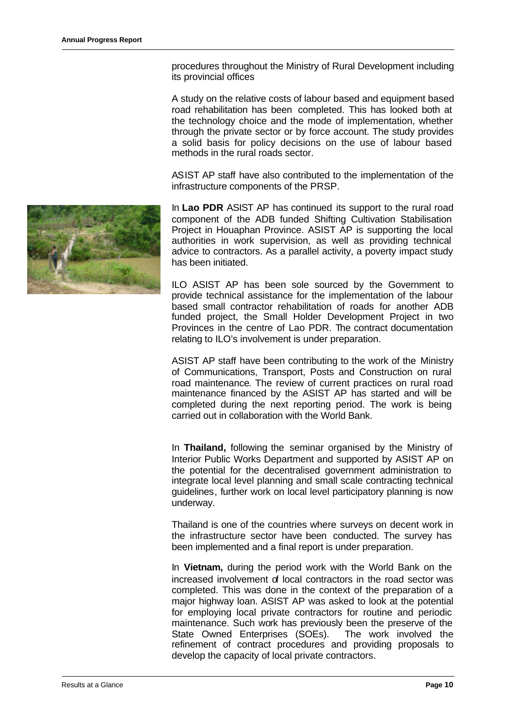procedures throughout the Ministry of Rural Development including its provincial offices

A study on the relative costs of labour based and equipment based road rehabilitation has been completed. This has looked both at the technology choice and the mode of implementation, whether through the private sector or by force account. The study provides a solid basis for policy decisions on the use of labour based methods in the rural roads sector.

ASIST AP staff have also contributed to the implementation of the infrastructure components of the PRSP.

In **Lao PDR** ASIST AP has continued its support to the rural road component of the ADB funded Shifting Cultivation Stabilisation Project in Houaphan Province. ASIST AP is supporting the local authorities in work supervision, as well as providing technical advice to contractors. As a parallel activity, a poverty impact study has been initiated.

ILO ASIST AP has been sole sourced by the Government to provide technical assistance for the implementation of the labour based small contractor rehabilitation of roads for another ADB funded project, the Small Holder Development Project in two Provinces in the centre of Lao PDR. The contract documentation relating to ILO's involvement is under preparation.

ASIST AP staff have been contributing to the work of the Ministry of Communications, Transport, Posts and Construction on rural road maintenance. The review of current practices on rural road maintenance financed by the ASIST AP has started and will be completed during the next reporting period. The work is being carried out in collaboration with the World Bank.

In **Thailand,** following the seminar organised by the Ministry of Interior Public Works Department and supported by ASIST AP on the potential for the decentralised government administration to integrate local level planning and small scale contracting technical guidelines, further work on local level participatory planning is now underway.

Thailand is one of the countries where surveys on decent work in the infrastructure sector have been conducted. The survey has been implemented and a final report is under preparation.

In **Vietnam,** during the period work with the World Bank on the increased involvement of local contractors in the road sector was completed. This was done in the context of the preparation of a major highway loan. ASIST AP was asked to look at the potential for employing local private contractors for routine and periodic maintenance. Such work has previously been the preserve of the State Owned Enterprises (SOEs). The work involved the refinement of contract procedures and providing proposals to develop the capacity of local private contractors.

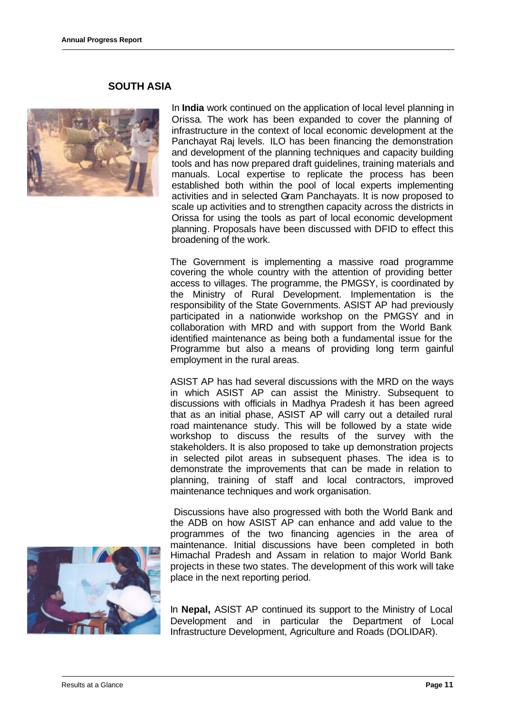#### **SOUTH ASIA**



In **India** work continued on the application of local level planning in Orissa. The work has been expanded to cover the planning of infrastructure in the context of local economic development at the Panchayat Raj levels. ILO has been financing the demonstration and development of the planning techniques and capacity building tools and has now prepared draft guidelines, training materials and manuals. Local expertise to replicate the process has been established both within the pool of local experts implementing activities and in selected Gram Panchayats. It is now proposed to scale up activities and to strengthen capacity across the districts in Orissa for using the tools as part of local economic development planning. Proposals have been discussed with DFID to effect this broadening of the work.

The Government is implementing a massive road programme covering the whole country with the attention of providing better access to villages. The programme, the PMGSY, is coordinated by the Ministry of Rural Development. Implementation is the responsibility of the State Governments. ASIST AP had previously participated in a nationwide workshop on the PMGSY and in collaboration with MRD and with support from the World Bank identified maintenance as being both a fundamental issue for the Programme but also a means of providing long term gainful employment in the rural areas.

ASIST AP has had several discussions with the MRD on the ways in which ASIST AP can assist the Ministry. Subsequent to discussions with officials in Madhya Pradesh it has been agreed that as an initial phase, ASIST AP will carry out a detailed rural road maintenance study. This will be followed by a state wide workshop to discuss the results of the survey with the stakeholders. It is also proposed to take up demonstration projects in selected pilot areas in subsequent phases. The idea is to demonstrate the improvements that can be made in relation to planning, training of staff and local contractors, improved maintenance techniques and work organisation.

 Discussions have also progressed with both the World Bank and the ADB on how ASIST AP can enhance and add value to the programmes of the two financing agencies in the area of maintenance. Initial discussions have been completed in both Himachal Pradesh and Assam in relation to major World Bank projects in these two states. The development of this work will take place in the next reporting period.

In **Nepal,** ASIST AP continued its support to the Ministry of Local Development and in particular the Department of Local Infrastructure Development, Agriculture and Roads (DOLIDAR).

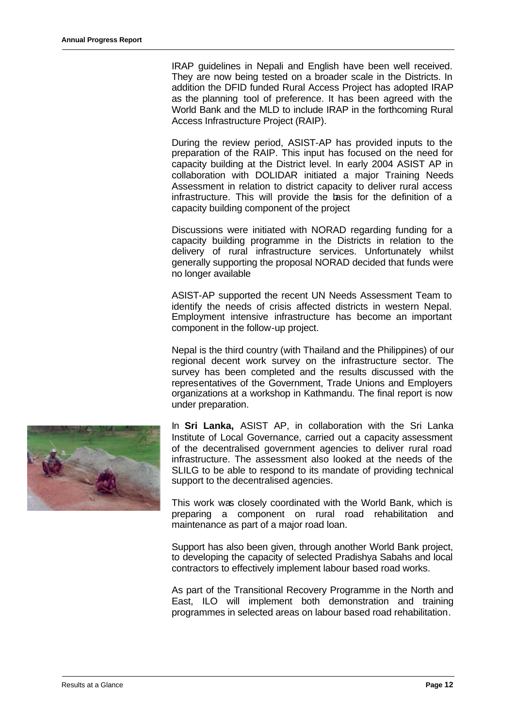IRAP guidelines in Nepali and English have been well received. They are now being tested on a broader scale in the Districts. In addition the DFID funded Rural Access Project has adopted IRAP as the planning tool of preference. It has been agreed with the World Bank and the MLD to include IRAP in the forthcoming Rural Access Infrastructure Project (RAIP).

During the review period, ASIST-AP has provided inputs to the preparation of the RAIP. This input has focused on the need for capacity building at the District level. In early 2004 ASIST AP in collaboration with DOLIDAR initiated a major Training Needs Assessment in relation to district capacity to deliver rural access infrastructure. This will provide the basis for the definition of a capacity building component of the project

Discussions were initiated with NORAD regarding funding for a capacity building programme in the Districts in relation to the delivery of rural infrastructure services. Unfortunately whilst generally supporting the proposal NORAD decided that funds were no longer available

ASIST-AP supported the recent UN Needs Assessment Team to identify the needs of crisis affected districts in western Nepal. Employment intensive infrastructure has become an important component in the follow-up project.

Nepal is the third country (with Thailand and the Philippines) of our regional decent work survey on the infrastructure sector. The survey has been completed and the results discussed with the representatives of the Government, Trade Unions and Employers organizations at a workshop in Kathmandu. The final report is now under preparation.



In **Sri Lanka,** ASIST AP, in collaboration with the Sri Lanka Institute of Local Governance, carried out a capacity assessment of the decentralised government agencies to deliver rural road infrastructure. The assessment also looked at the needs of the SLILG to be able to respond to its mandate of providing technical support to the decentralised agencies.

This work was closely coordinated with the World Bank, which is preparing a component on rural road rehabilitation and maintenance as part of a major road loan.

Support has also been given, through another World Bank project, to developing the capacity of selected Pradishya Sabahs and local contractors to effectively implement labour based road works.

As part of the Transitional Recovery Programme in the North and East, ILO will implement both demonstration and training programmes in selected areas on labour based road rehabilitation.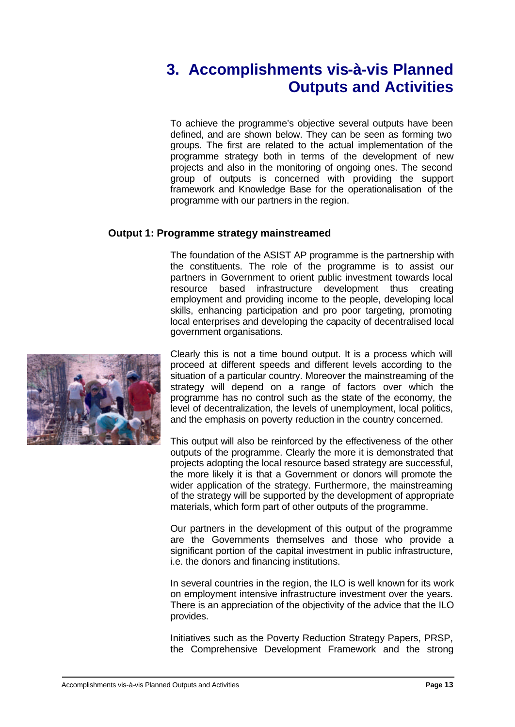# **3. Accomplishments vis-à-vis Planned Outputs and Activities**

To achieve the programme's objective several outputs have been defined, and are shown below. They can be seen as forming two groups. The first are related to the actual implementation of the programme strategy both in terms of the development of new projects and also in the monitoring of ongoing ones. The second group of outputs is concerned with providing the support framework and Knowledge Base for the operationalisation of the programme with our partners in the region.

# **Output 1: Programme strategy mainstreamed**

The foundation of the ASIST AP programme is the partnership with the constituents. The role of the programme is to assist our partners in Government to orient public investment towards local resource based infrastructure development thus creating employment and providing income to the people, developing local skills, enhancing participation and pro poor targeting, promoting local enterprises and developing the capacity of decentralised local government organisations.



Clearly this is not a time bound output. It is a process which will proceed at different speeds and different levels according to the situation of a particular country. Moreover the mainstreaming of the strategy will depend on a range of factors over which the programme has no control such as the state of the economy, the level of decentralization, the levels of unemployment, local politics, and the emphasis on poverty reduction in the country concerned.

This output will also be reinforced by the effectiveness of the other outputs of the programme. Clearly the more it is demonstrated that projects adopting the local resource based strategy are successful, the more likely it is that a Government or donors will promote the wider application of the strategy. Furthermore, the mainstreaming of the strategy will be supported by the development of appropriate materials, which form part of other outputs of the programme.

Our partners in the development of this output of the programme are the Governments themselves and those who provide a significant portion of the capital investment in public infrastructure, i.e. the donors and financing institutions.

In several countries in the region, the ILO is well known for its work on employment intensive infrastructure investment over the years. There is an appreciation of the objectivity of the advice that the ILO provides.

Initiatives such as the Poverty Reduction Strategy Papers, PRSP, the Comprehensive Development Framework and the strong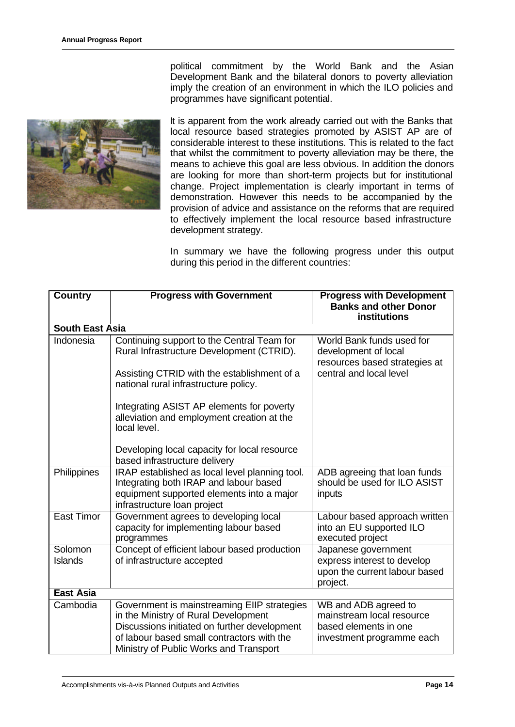

political commitment by the World Bank and the Asian Development Bank and the bilateral donors to poverty alleviation imply the creation of an environment in which the ILO policies and programmes have significant potential.

It is apparent from the work already carried out with the Banks that local resource based strategies promoted by ASIST AP are of considerable interest to these institutions. This is related to the fact that whilst the commitment to poverty alleviation may be there, the means to achieve this goal are less obvious. In addition the donors are looking for more than short-term projects but for institutional change. Project implementation is clearly important in terms of demonstration. However this needs to be accompanied by the provision of advice and assistance on the reforms that are required to effectively implement the local resource based infrastructure development strategy.

In summary we have the following progress under this output during this period in the different countries:

| <b>Country</b>         | <b>Progress with Government</b>                                                                                                                                                                                                                                            | <b>Progress with Development</b><br><b>Banks and other Donor</b><br><b>institutions</b>                       |
|------------------------|----------------------------------------------------------------------------------------------------------------------------------------------------------------------------------------------------------------------------------------------------------------------------|---------------------------------------------------------------------------------------------------------------|
| <b>South East Asia</b> |                                                                                                                                                                                                                                                                            |                                                                                                               |
| Indonesia              | Continuing support to the Central Team for<br>Rural Infrastructure Development (CTRID).<br>Assisting CTRID with the establishment of a<br>national rural infrastructure policy.<br>Integrating ASIST AP elements for poverty<br>alleviation and employment creation at the | World Bank funds used for<br>development of local<br>resources based strategies at<br>central and local level |
|                        | local level.<br>Developing local capacity for local resource<br>based infrastructure delivery                                                                                                                                                                              |                                                                                                               |
| Philippines            | IRAP established as local level planning tool.<br>Integrating both IRAP and labour based<br>equipment supported elements into a major<br>infrastructure loan project                                                                                                       | ADB agreeing that loan funds<br>should be used for ILO ASIST<br>inputs                                        |
| <b>East Timor</b>      | Government agrees to developing local<br>capacity for implementing labour based<br>programmes                                                                                                                                                                              | Labour based approach written<br>into an EU supported ILO<br>executed project                                 |
| Solomon<br>Islands     | Concept of efficient labour based production<br>of infrastructure accepted                                                                                                                                                                                                 | Japanese government<br>express interest to develop<br>upon the current labour based<br>project.               |
| <b>East Asia</b>       |                                                                                                                                                                                                                                                                            |                                                                                                               |
| Cambodia               | Government is mainstreaming EIIP strategies<br>in the Ministry of Rural Development<br>Discussions initiated on further development<br>of labour based small contractors with the<br>Ministry of Public Works and Transport                                                | WB and ADB agreed to<br>mainstream local resource<br>based elements in one<br>investment programme each       |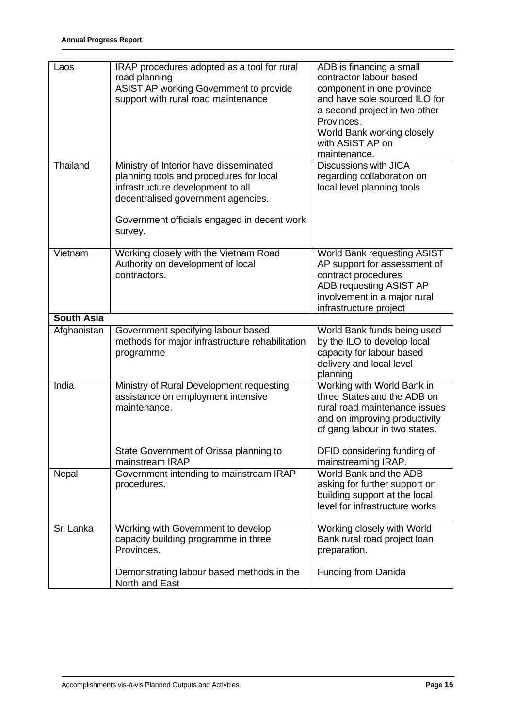| Laos              | IRAP procedures adopted as a tool for rural<br>road planning<br>ASIST AP working Government to provide<br>support with rural road maintenance                                                                          | ADB is financing a small<br>contractor labour based<br>component in one province<br>and have sole sourced ILO for<br>a second project in two other<br>Provinces.<br>World Bank working closely<br>with ASIST AP on<br>maintenance. |
|-------------------|------------------------------------------------------------------------------------------------------------------------------------------------------------------------------------------------------------------------|------------------------------------------------------------------------------------------------------------------------------------------------------------------------------------------------------------------------------------|
| Thailand          | Ministry of Interior have disseminated<br>planning tools and procedures for local<br>infrastructure development to all<br>decentralised government agencies.<br>Government officials engaged in decent work<br>survey. | <b>Discussions with JICA</b><br>regarding collaboration on<br>local level planning tools                                                                                                                                           |
| Vietnam           | Working closely with the Vietnam Road<br>Authority on development of local<br>contractors.                                                                                                                             | World Bank requesting ASIST<br>AP support for assessment of<br>contract procedures<br>ADB requesting ASIST AP<br>involvement in a major rural<br>infrastructure project                                                            |
| <b>South Asia</b> |                                                                                                                                                                                                                        |                                                                                                                                                                                                                                    |
| Afghanistan       | Government specifying labour based<br>methods for major infrastructure rehabilitation<br>programme                                                                                                                     | World Bank funds being used<br>by the ILO to develop local<br>capacity for labour based<br>delivery and local level<br>planning                                                                                                    |
| India             | Ministry of Rural Development requesting<br>assistance on employment intensive<br>maintenance.<br>State Government of Orissa planning to                                                                               | Working with World Bank in<br>three States and the ADB on<br>rural road maintenance issues<br>and on improving productivity<br>of gang labour in two states.<br>DFID considering funding of                                        |
|                   | mainstream IRAP                                                                                                                                                                                                        | mainstreaming IRAP.                                                                                                                                                                                                                |
| Nepal             | Government intending to mainstream IRAP<br>procedures.                                                                                                                                                                 | World Bank and the ADB<br>asking for further support on<br>building support at the local<br>level for infrastructure works                                                                                                         |
| Sri Lanka         | Working with Government to develop<br>capacity building programme in three<br>Provinces.                                                                                                                               | Working closely with World<br>Bank rural road project loan<br>preparation.                                                                                                                                                         |
|                   | Demonstrating labour based methods in the<br>North and East                                                                                                                                                            | Funding from Danida                                                                                                                                                                                                                |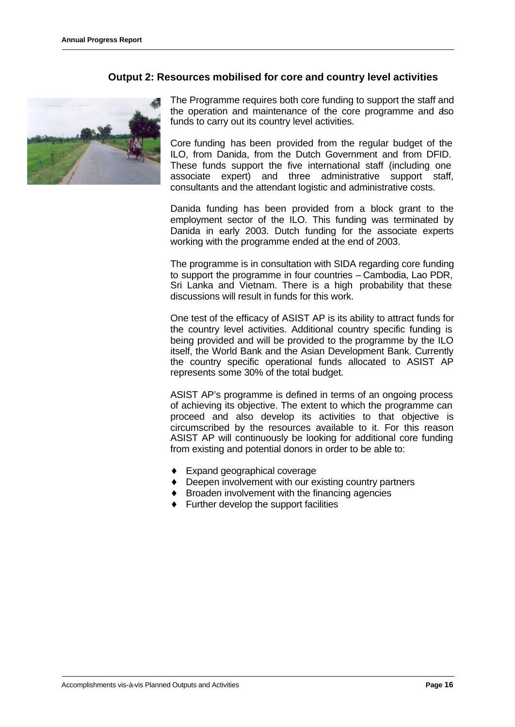### **Output 2: Resources mobilised for core and country level activities**



The Programme requires both core funding to support the staff and the operation and maintenance of the core programme and also funds to carry out its country level activities.

Core funding has been provided from the regular budget of the ILO, from Danida, from the Dutch Government and from DFID. These funds support the five international staff (including one associate expert) and three administrative support staff, consultants and the attendant logistic and administrative costs.

Danida funding has been provided from a block grant to the employment sector of the ILO. This funding was terminated by Danida in early 2003. Dutch funding for the associate experts working with the programme ended at the end of 2003.

The programme is in consultation with SIDA regarding core funding to support the programme in four countries – Cambodia, Lao PDR, Sri Lanka and Vietnam. There is a high probability that these discussions will result in funds for this work.

One test of the efficacy of ASIST AP is its ability to attract funds for the country level activities. Additional country specific funding is being provided and will be provided to the programme by the ILO itself, the World Bank and the Asian Development Bank. Currently the country specific operational funds allocated to ASIST AP represents some 30% of the total budget.

ASIST AP's programme is defined in terms of an ongoing process of achieving its objective. The extent to which the programme can proceed and also develop its activities to that objective is circumscribed by the resources available to it. For this reason ASIST AP will continuously be looking for additional core funding from existing and potential donors in order to be able to:

- ♦ Expand geographical coverage
- ♦ Deepen involvement with our existing country partners
- ♦ Broaden involvement with the financing agencies
- $\leftarrow$  Further develop the support facilities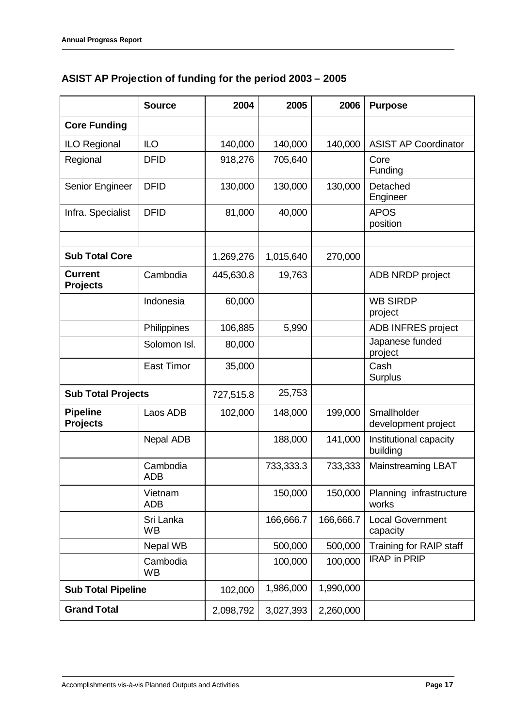# **ASIST AP Projection of funding for the period 2003 – 2005**

|                                    | <b>Source</b>          | 2004      | 2005      | 2006      | <b>Purpose</b>                      |
|------------------------------------|------------------------|-----------|-----------|-----------|-------------------------------------|
| <b>Core Funding</b>                |                        |           |           |           |                                     |
| <b>ILO Regional</b>                | <b>ILO</b>             | 140,000   | 140,000   | 140,000   | <b>ASIST AP Coordinator</b>         |
| Regional                           | <b>DFID</b>            | 918,276   | 705,640   |           | Core<br>Funding                     |
| Senior Engineer                    | <b>DFID</b>            | 130,000   | 130,000   | 130,000   | Detached<br>Engineer                |
| Infra. Specialist                  | <b>DFID</b>            | 81,000    | 40,000    |           | <b>APOS</b><br>position             |
|                                    |                        |           |           |           |                                     |
| <b>Sub Total Core</b>              |                        | 1,269,276 | 1,015,640 | 270,000   |                                     |
| <b>Current</b><br><b>Projects</b>  | Cambodia               | 445,630.8 | 19,763    |           | ADB NRDP project                    |
|                                    | Indonesia              | 60,000    |           |           | <b>WB SIRDP</b><br>project          |
|                                    | Philippines            | 106,885   | 5,990     |           | ADB INFRES project                  |
|                                    | Solomon Isl.           | 80,000    |           |           | Japanese funded<br>project          |
|                                    | <b>East Timor</b>      | 35,000    |           |           | Cash<br>Surplus                     |
| <b>Sub Total Projects</b>          |                        | 727,515.8 | 25,753    |           |                                     |
| <b>Pipeline</b><br><b>Projects</b> | Laos ADB               | 102,000   | 148,000   | 199,000   | Smallholder<br>development project  |
|                                    | Nepal ADB              |           | 188,000   | 141,000   | Institutional capacity<br>building  |
|                                    | Cambodia<br><b>ADB</b> |           | 733,333.3 | 733,333   | <b>Mainstreaming LBAT</b>           |
|                                    | Vietnam<br><b>ADB</b>  |           | 150,000   | 150,000   | Planning infrastructure<br>works    |
|                                    | Sri Lanka<br><b>WB</b> |           | 166,666.7 | 166,666.7 | <b>Local Government</b><br>capacity |
|                                    | Nepal WB               |           | 500,000   | 500,000   | Training for RAIP staff             |
| Cambodia<br><b>WB</b>              |                        |           | 100,000   | 100,000   | <b>IRAP in PRIP</b>                 |
| <b>Sub Total Pipeline</b>          |                        | 102,000   | 1,986,000 | 1,990,000 |                                     |
| <b>Grand Total</b>                 |                        | 2,098,792 | 3,027,393 | 2,260,000 |                                     |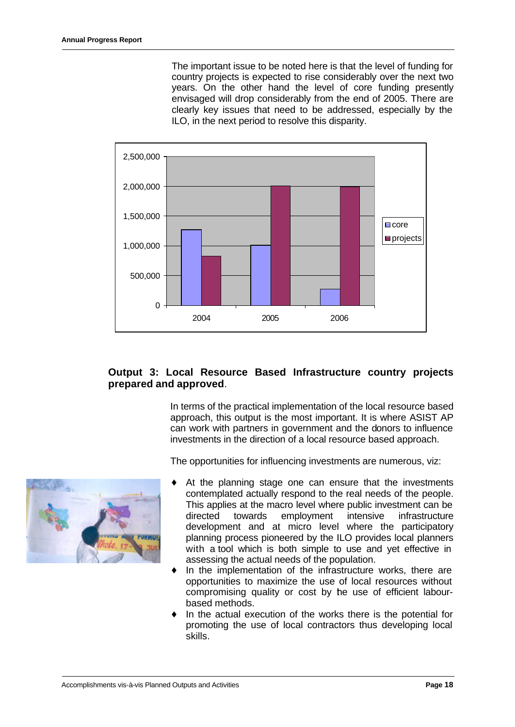The important issue to be noted here is that the level of funding for country projects is expected to rise considerably over the next two years. On the other hand the level of core funding presently envisaged will drop considerably from the end of 2005. There are clearly key issues that need to be addressed, especially by the ILO, in the next period to resolve this disparity.



### **Output 3: Local Resource Based Infrastructure country projects prepared and approved**.

In terms of the practical implementation of the local resource based approach, this output is the most important. It is where ASIST AP can work with partners in government and the donors to influence investments in the direction of a local resource based approach.

The opportunities for influencing investments are numerous, viz:



- At the planning stage one can ensure that the investments contemplated actually respond to the real needs of the people. This applies at the macro level where public investment can be directed towards employment intensive infrastructure development and at micro level where the participatory planning process pioneered by the ILO provides local planners with a tool which is both simple to use and yet effective in assessing the actual needs of the population.
- In the implementation of the infrastructure works, there are opportunities to maximize the use of local resources without compromising quality or cost by the use of efficient labourbased methods.
- In the actual execution of the works there is the potential for promoting the use of local contractors thus developing local skills.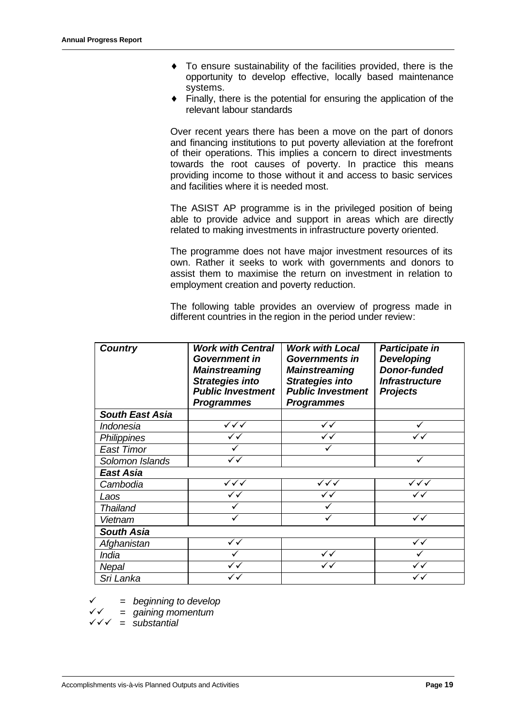- ♦ To ensure sustainability of the facilities provided, there is the opportunity to develop effective, locally based maintenance systems.
- $\bullet$  Finally, there is the potential for ensuring the application of the relevant labour standards

Over recent years there has been a move on the part of donors and financing institutions to put poverty alleviation at the forefront of their operations. This implies a concern to direct investments towards the root causes of poverty. In practice this means providing income to those without it and access to basic services and facilities where it is needed most.

The ASIST AP programme is in the privileged position of being able to provide advice and support in areas which are directly related to making investments in infrastructure poverty oriented.

The programme does not have major investment resources of its own. Rather it seeks to work with governments and donors to assist them to maximise the return on investment in relation to employment creation and poverty reduction.

The following table provides an overview of progress made in different countries in the region in the period under review:

| <b>Country</b>         | <b>Work with Central</b><br><b>Government in</b><br><b>Mainstreaming</b><br><b>Strategies into</b><br><b>Public Investment</b><br><b>Programmes</b> | <b>Work with Local</b><br><b>Governments in</b><br><b>Mainstreaming</b><br><b>Strategies into</b><br><b>Public Investment</b><br><b>Programmes</b> | Participate in<br><b>Developing</b><br><b>Donor-funded</b><br><b>Infrastructure</b><br><b>Projects</b> |
|------------------------|-----------------------------------------------------------------------------------------------------------------------------------------------------|----------------------------------------------------------------------------------------------------------------------------------------------------|--------------------------------------------------------------------------------------------------------|
| <b>South East Asia</b> |                                                                                                                                                     |                                                                                                                                                    |                                                                                                        |
| Indonesia              | $\checkmark\checkmark\checkmark$                                                                                                                    | $\checkmark$                                                                                                                                       |                                                                                                        |
| Philippines            | ✓✓                                                                                                                                                  | ✓✓                                                                                                                                                 |                                                                                                        |
| <b>East Timor</b>      |                                                                                                                                                     |                                                                                                                                                    |                                                                                                        |
| Solomon Islands        | $\checkmark$                                                                                                                                        |                                                                                                                                                    | ✓                                                                                                      |
| East Asia              |                                                                                                                                                     |                                                                                                                                                    |                                                                                                        |
| Cambodia               | $\checkmark\checkmark$                                                                                                                              | ✓✓✓                                                                                                                                                | ✓✓✓                                                                                                    |
| Laos                   | ✓✓                                                                                                                                                  |                                                                                                                                                    |                                                                                                        |
| <b>Thailand</b>        |                                                                                                                                                     |                                                                                                                                                    |                                                                                                        |
| Vietnam                |                                                                                                                                                     |                                                                                                                                                    | $\checkmark$                                                                                           |
| <b>South Asia</b>      |                                                                                                                                                     |                                                                                                                                                    |                                                                                                        |
| Afghanistan            | ✓✓                                                                                                                                                  |                                                                                                                                                    | $\checkmark$                                                                                           |
| <i><b>India</b></i>    |                                                                                                                                                     | ✓✓                                                                                                                                                 |                                                                                                        |
| Nepal                  | ✓✓                                                                                                                                                  |                                                                                                                                                    |                                                                                                        |
| Sri Lanka              | ✓✓                                                                                                                                                  |                                                                                                                                                    |                                                                                                        |

¸ *= beginning to develop*

¸¸ *= gaining momentum*

 $\sqrt{\checkmark} =$  substantial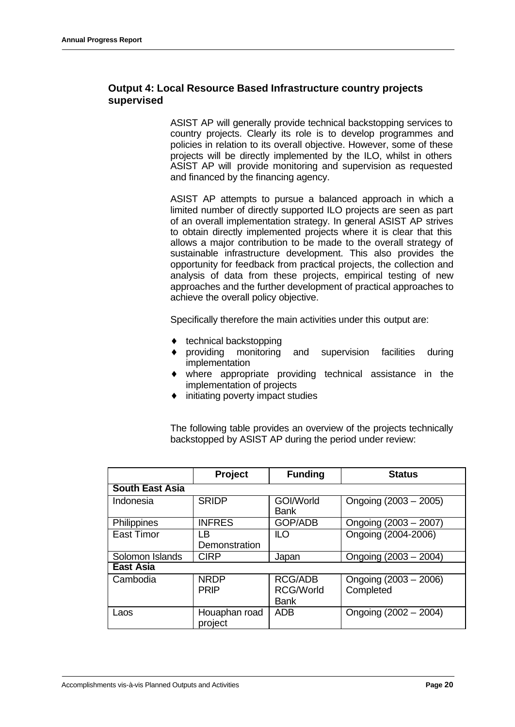# **Output 4: Local Resource Based Infrastructure country projects supervised**

ASIST AP will generally provide technical backstopping services to country projects. Clearly its role is to develop programmes and policies in relation to its overall objective. However, some of these projects will be directly implemented by the ILO, whilst in others ASIST AP will provide monitoring and supervision as requested and financed by the financing agency.

ASIST AP attempts to pursue a balanced approach in which a limited number of directly supported ILO projects are seen as part of an overall implementation strategy. In general ASIST AP strives to obtain directly implemented projects where it is clear that this allows a major contribution to be made to the overall strategy of sustainable infrastructure development. This also provides the opportunity for feedback from practical projects, the collection and analysis of data from these projects, empirical testing of new approaches and the further development of practical approaches to achieve the overall policy objective.

Specifically therefore the main activities under this output are:

- $\bullet$  technical backstopping
- providing monitoring and supervision facilities during implementation
- ♦ where appropriate providing technical assistance in the implementation of projects
- initiating poverty impact studies

The following table provides an overview of the projects technically backstopped by ASIST AP during the period under review:

|                        | Project                    | <b>Funding</b>                                    | <b>Status</b>                      |
|------------------------|----------------------------|---------------------------------------------------|------------------------------------|
| <b>South East Asia</b> |                            |                                                   |                                    |
| Indonesia              | <b>SRIDP</b>               | GOI/World<br><b>Bank</b>                          | Ongoing $(2003 - 2005)$            |
| Philippines            | <b>INFRES</b>              | <b>GOP/ADB</b>                                    | Ongoing (2003 - 2007)              |
| <b>East Timor</b>      | LB<br>Demonstration        | ILO                                               | Ongoing (2004-2006)                |
| Solomon Islands        | <b>CIRP</b>                | Japan                                             | Ongoing (2003 - 2004)              |
| <b>East Asia</b>       |                            |                                                   |                                    |
| Cambodia               | <b>NRDP</b><br><b>PRIP</b> | <b>RCG/ADB</b><br><b>RCG/World</b><br><b>Bank</b> | Ongoing (2003 - 2006)<br>Completed |
| Laos                   | Houaphan road<br>project   | <b>ADB</b>                                        | Ongoing (2002 - 2004)              |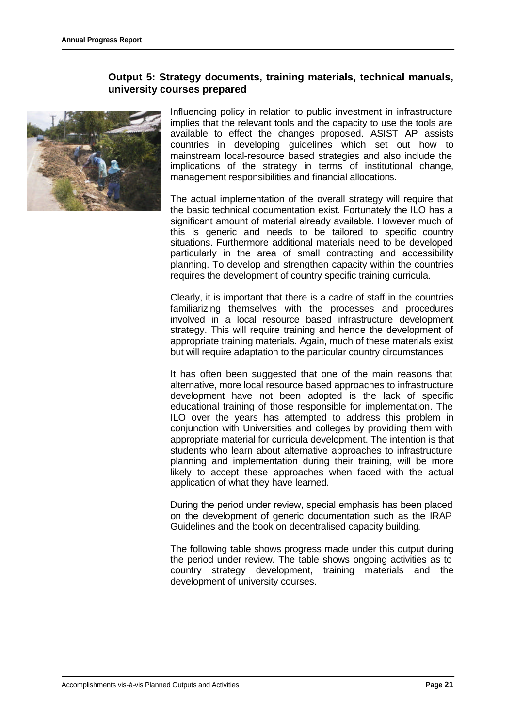### **Output 5: Strategy documents, training materials, technical manuals, university courses prepared**



Influencing policy in relation to public investment in infrastructure implies that the relevant tools and the capacity to use the tools are available to effect the changes proposed. ASIST AP assists countries in developing guidelines which set out how to mainstream local-resource based strategies and also include the implications of the strategy in terms of institutional change, management responsibilities and financial allocations.

The actual implementation of the overall strategy will require that the basic technical documentation exist. Fortunately the ILO has a significant amount of material already available. However much of this is generic and needs to be tailored to specific country situations. Furthermore additional materials need to be developed particularly in the area of small contracting and accessibility planning. To develop and strengthen capacity within the countries requires the development of country specific training curricula.

Clearly, it is important that there is a cadre of staff in the countries familiarizing themselves with the processes and procedures involved in a local resource based infrastructure development strategy. This will require training and hence the development of appropriate training materials. Again, much of these materials exist but will require adaptation to the particular country circumstances

It has often been suggested that one of the main reasons that alternative, more local resource based approaches to infrastructure development have not been adopted is the lack of specific educational training of those responsible for implementation. The ILO over the years has attempted to address this problem in conjunction with Universities and colleges by providing them with appropriate material for curricula development. The intention is that students who learn about alternative approaches to infrastructure planning and implementation during their training, will be more likely to accept these approaches when faced with the actual application of what they have learned.

During the period under review, special emphasis has been placed on the development of generic documentation such as the IRAP Guidelines and the book on decentralised capacity building.

The following table shows progress made under this output during the period under review. The table shows ongoing activities as to country strategy development, training materials and the development of university courses.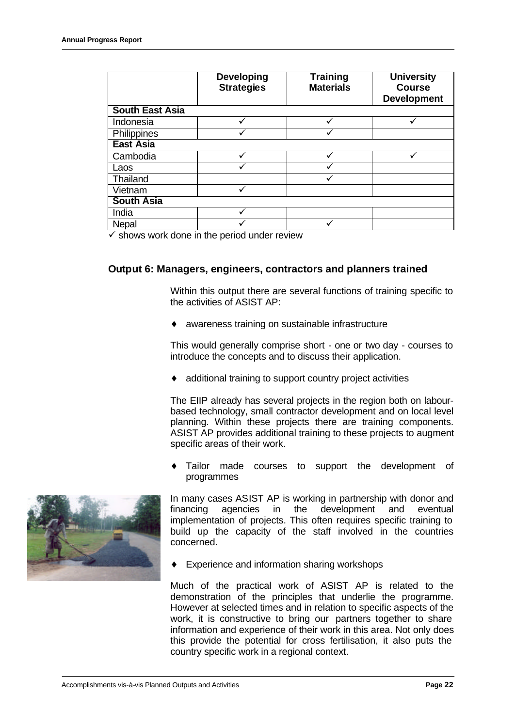|                        | <b>Developing</b><br><b>Strategies</b> | <b>Training</b><br><b>Materials</b> | <b>University</b><br><b>Course</b><br><b>Development</b> |  |
|------------------------|----------------------------------------|-------------------------------------|----------------------------------------------------------|--|
| <b>South East Asia</b> |                                        |                                     |                                                          |  |
| Indonesia              |                                        |                                     |                                                          |  |
| <b>Philippines</b>     |                                        |                                     |                                                          |  |
| <b>East Asia</b>       |                                        |                                     |                                                          |  |
| Cambodia               |                                        |                                     |                                                          |  |
| Laos                   |                                        |                                     |                                                          |  |
| Thailand               |                                        |                                     |                                                          |  |
| Vietnam                |                                        |                                     |                                                          |  |
| <b>South Asia</b>      |                                        |                                     |                                                          |  |
| India                  |                                        |                                     |                                                          |  |
| <b>Nepal</b>           |                                        |                                     |                                                          |  |

 $\checkmark$  shows work done in the period under review

### **Output 6: Managers, engineers, contractors and planners trained**

Within this output there are several functions of training specific to the activities of ASIST AP:

♦ awareness training on sustainable infrastructure

This would generally comprise short - one or two day - courses to introduce the concepts and to discuss their application.

additional training to support country project activities

The EIIP already has several projects in the region both on labourbased technology, small contractor development and on local level planning. Within these projects there are training components. ASIST AP provides additional training to these projects to augment specific areas of their work.

Tailor made courses to support the development of programmes



In many cases ASIST AP is working in partnership with donor and financing agencies in the development and eventual implementation of projects. This often requires specific training to build up the capacity of the staff involved in the countries concerned.

Experience and information sharing workshops

Much of the practical work of ASIST AP is related to the demonstration of the principles that underlie the programme. However at selected times and in relation to specific aspects of the work, it is constructive to bring our partners together to share information and experience of their work in this area. Not only does this provide the potential for cross fertilisation, it also puts the country specific work in a regional context.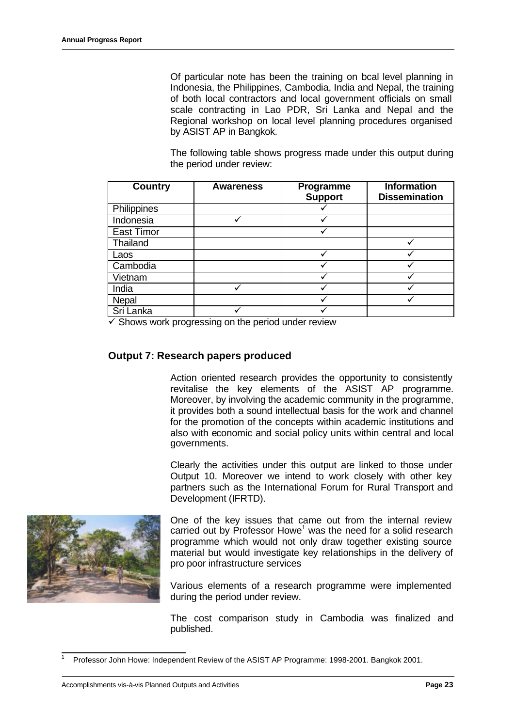Of particular note has been the training on boal level planning in Indonesia, the Philippines, Cambodia, India and Nepal, the training of both local contractors and local government officials on small scale contracting in Lao PDR, Sri Lanka and Nepal and the Regional workshop on local level planning procedures organised by ASIST AP in Bangkok.

The following table shows progress made under this output during the period under review:

| <b>Country</b>    | <b>Awareness</b> | <b>Programme</b><br><b>Support</b> | <b>Information</b><br><b>Dissemination</b> |
|-------------------|------------------|------------------------------------|--------------------------------------------|
| Philippines       |                  |                                    |                                            |
| Indonesia         |                  |                                    |                                            |
| <b>East Timor</b> |                  |                                    |                                            |
| Thailand          |                  |                                    |                                            |
| Laos              |                  |                                    |                                            |
| Cambodia          |                  |                                    |                                            |
| Vietnam           |                  |                                    |                                            |
| India             |                  |                                    |                                            |
| Nepal             |                  |                                    |                                            |
| Sri Lanka         |                  |                                    |                                            |

 $\checkmark$  Shows work progressing on the period under review

### **Output 7: Research papers produced**

Action oriented research provides the opportunity to consistently revitalise the key elements of the ASIST AP programme. Moreover, by involving the academic community in the programme, it provides both a sound intellectual basis for the work and channel for the promotion of the concepts within academic institutions and also with economic and social policy units within central and local governments.

Clearly the activities under this output are linked to those under Output 10. Moreover we intend to work closely with other key partners such as the International Forum for Rural Transport and Development (IFRTD).



One of the key issues that came out from the internal review carried out by Professor Howe<sup>1</sup> was the need for a solid research programme which would not only draw together existing source material but would investigate key relationships in the delivery of pro poor infrastructure services

Various elements of a research programme were implemented during the period under review.

The cost comparison study in Cambodia was finalized and published.

l <sup>1</sup> Professor John Howe: Independent Review of the ASIST AP Programme: 1998-2001. Bangkok 2001.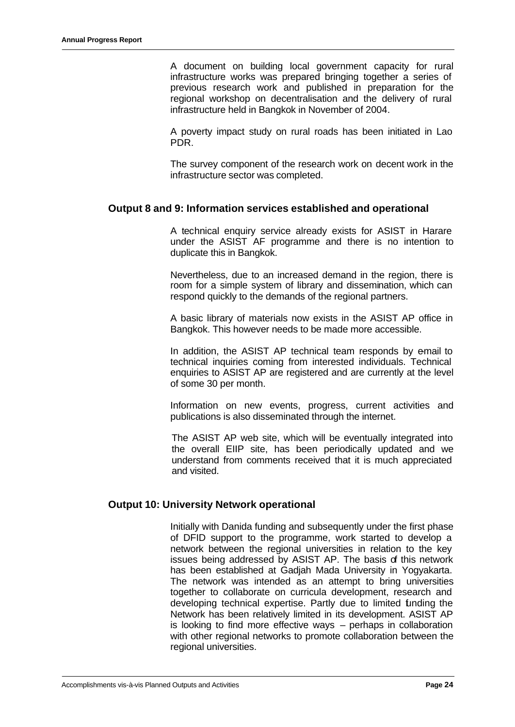A document on building local government capacity for rural infrastructure works was prepared bringing together a series of previous research work and published in preparation for the regional workshop on decentralisation and the delivery of rural infrastructure held in Bangkok in November of 2004.

A poverty impact study on rural roads has been initiated in Lao PDR.

The survey component of the research work on decent work in the infrastructure sector was completed.

#### **Output 8 and 9: Information services established and operational**

A technical enquiry service already exists for ASIST in Harare under the ASIST AF programme and there is no intention to duplicate this in Bangkok.

Nevertheless, due to an increased demand in the region, there is room for a simple system of library and dissemination, which can respond quickly to the demands of the regional partners.

A basic library of materials now exists in the ASIST AP office in Bangkok. This however needs to be made more accessible.

In addition, the ASIST AP technical team responds by email to technical inquiries coming from interested individuals. Technical enquiries to ASIST AP are registered and are currently at the level of some 30 per month.

Information on new events, progress, current activities and publications is also disseminated through the internet.

The ASIST AP web site, which will be eventually integrated into the overall EIIP site, has been periodically updated and we understand from comments received that it is much appreciated and visited.

### **Output 10: University Network operational**

Initially with Danida funding and subsequently under the first phase of DFID support to the programme, work started to develop a network between the regional universities in relation to the key issues being addressed by ASIST AP. The basis of this network has been established at Gadjah Mada University in Yogyakarta. The network was intended as an attempt to bring universities together to collaborate on curricula development, research and developing technical expertise. Partly due to limited funding the Network has been relatively limited in its development. ASIST AP is looking to find more effective ways – perhaps in collaboration with other regional networks to promote collaboration between the regional universities.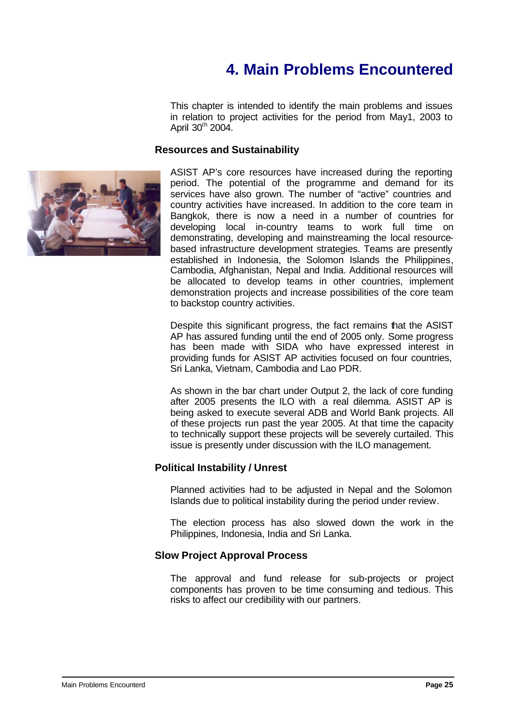# **4. Main Problems Encountered**

This chapter is intended to identify the main problems and issues in relation to project activities for the period from May1, 2003 to April 30<sup>th</sup> 2004.

#### **Resources and Sustainability**



ASIST AP's core resources have increased during the reporting period. The potential of the programme and demand for its services have also grown. The number of "active" countries and country activities have increased. In addition to the core team in Bangkok, there is now a need in a number of countries for developing local in-country teams to work full time on demonstrating, developing and mainstreaming the local resourcebased infrastructure development strategies. Teams are presently established in Indonesia, the Solomon Islands the Philippines, Cambodia, Afghanistan, Nepal and India. Additional resources will be allocated to develop teams in other countries, implement demonstration projects and increase possibilities of the core team to backstop country activities.

Despite this significant progress, the fact remains that the ASIST AP has assured funding until the end of 2005 only. Some progress has been made with SIDA who have expressed interest in providing funds for ASIST AP activities focused on four countries, Sri Lanka, Vietnam, Cambodia and Lao PDR.

As shown in the bar chart under Output 2, the lack of core funding after 2005 presents the ILO with a real dilemma. ASIST AP is being asked to execute several ADB and World Bank projects. All of these projects run past the year 2005. At that time the capacity to technically support these projects will be severely curtailed. This issue is presently under discussion with the ILO management.

# **Political Instability / Unrest**

Planned activities had to be adjusted in Nepal and the Solomon Islands due to political instability during the period under review.

The election process has also slowed down the work in the Philippines, Indonesia, India and Sri Lanka.

# **Slow Project Approval Process**

The approval and fund release for sub-projects or project components has proven to be time consuming and tedious. This risks to affect our credibility with our partners.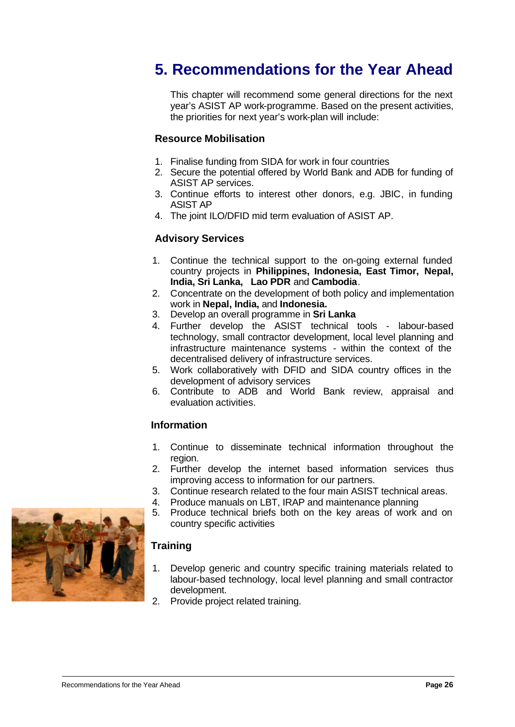# **5. Recommendations for the Year Ahead**

This chapter will recommend some general directions for the next year's ASIST AP work-programme. Based on the present activities, the priorities for next year's work-plan will include:

### **Resource Mobilisation**

- 1. Finalise funding from SIDA for work in four countries
- 2. Secure the potential offered by World Bank and ADB for funding of ASIST AP services.
- 3. Continue efforts to interest other donors, e.g. JBIC, in funding ASIST AP
- 4. The joint ILO/DFID mid term evaluation of ASIST AP.

# **Advisory Services**

- 1. Continue the technical support to the on-going external funded country projects in **Philippines, Indonesia, East Timor, Nepal, India, Sri Lanka, Lao PDR** and **Cambodia**.
- 2. Concentrate on the development of both policy and implementation work in **Nepal, India,** and **Indonesia.**
- 3. Develop an overall programme in **Sri Lanka**
- 4. Further develop the ASIST technical tools labour-based technology, small contractor development, local level planning and infrastructure maintenance systems - within the context of the decentralised delivery of infrastructure services.
- 5. Work collaboratively with DFID and SIDA country offices in the development of advisory services
- 6. Contribute to ADB and World Bank review, appraisal and evaluation activities.

# **Information**

- 1. Continue to disseminate technical information throughout the region.
- 2. Further develop the internet based information services thus improving access to information for our partners.
- 3. Continue research related to the four main ASIST technical areas.
- 4. Produce manuals on LBT, IRAP and maintenance planning
- 5. Produce technical briefs both on the key areas of work and on country specific activities

# **Training**

- 1. Develop generic and country specific training materials related to labour-based technology, local level planning and small contractor development.
- 2. Provide project related training.

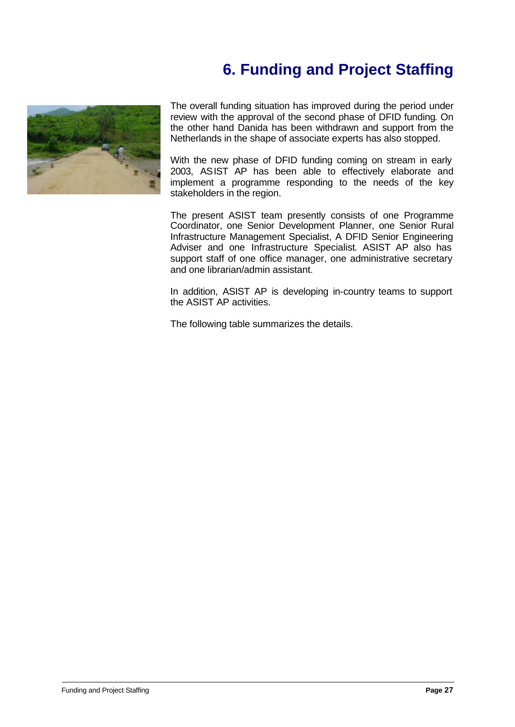# **6. Funding and Project Staffing**



The overall funding situation has improved during the period under review with the approval of the second phase of DFID funding. On the other hand Danida has been withdrawn and support from the Netherlands in the shape of associate experts has also stopped.

With the new phase of DFID funding coming on stream in early 2003, ASIST AP has been able to effectively elaborate and implement a programme responding to the needs of the key stakeholders in the region.

The present ASIST team presently consists of one Programme Coordinator, one Senior Development Planner, one Senior Rural Infrastructure Management Specialist, A DFID Senior Engineering Adviser and one Infrastructure Specialist. ASIST AP also has support staff of one office manager, one administrative secretary and one librarian/admin assistant.

In addition, ASIST AP is developing in-country teams to support the ASIST AP activities.

The following table summarizes the details.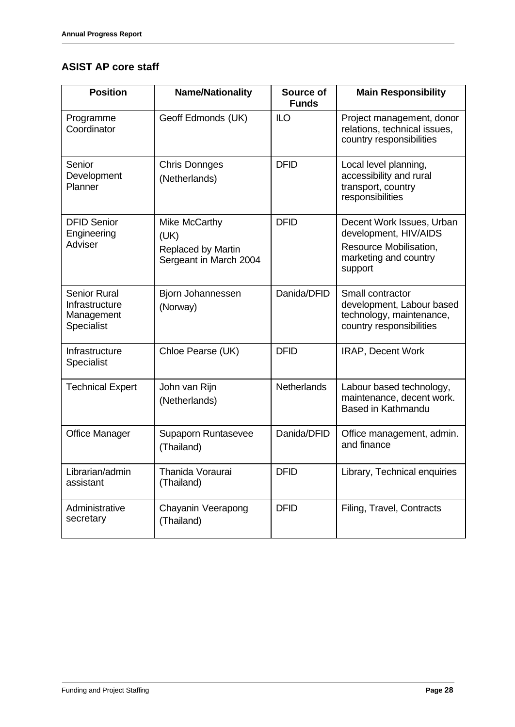# **ASIST AP core staff**

| <b>Position</b>                                                   | <b>Name/Nationality</b>                                               | Source of<br><b>Funds</b> | <b>Main Responsibility</b>                                                                                       |
|-------------------------------------------------------------------|-----------------------------------------------------------------------|---------------------------|------------------------------------------------------------------------------------------------------------------|
| Programme<br>Coordinator                                          | Geoff Edmonds (UK)                                                    | <b>ILO</b>                | Project management, donor<br>relations, technical issues,<br>country responsibilities                            |
| Senior<br>Development<br>Planner                                  | <b>Chris Donnges</b><br>(Netherlands)                                 | <b>DFID</b>               | Local level planning,<br>accessibility and rural<br>transport, country<br>responsibilities                       |
| <b>DFID Senior</b><br>Engineering<br><b>Adviser</b>               | Mike McCarthy<br>(UK)<br>Replaced by Martin<br>Sergeant in March 2004 | <b>DFID</b>               | Decent Work Issues, Urban<br>development, HIV/AIDS<br>Resource Mobilisation,<br>marketing and country<br>support |
| <b>Senior Rural</b><br>Infrastructure<br>Management<br>Specialist | Bjorn Johannessen<br>(Norway)                                         | Danida/DFID               | Small contractor<br>development, Labour based<br>technology, maintenance,<br>country responsibilities            |
| Infrastructure<br>Specialist                                      | Chloe Pearse (UK)                                                     | <b>DFID</b>               | IRAP, Decent Work                                                                                                |
| <b>Technical Expert</b>                                           | John van Rijn<br>(Netherlands)                                        | <b>Netherlands</b>        | Labour based technology,<br>maintenance, decent work.<br><b>Based in Kathmandu</b>                               |
| <b>Office Manager</b>                                             | Supaporn Runtasevee<br>(Thailand)                                     | Danida/DFID               | Office management, admin.<br>and finance                                                                         |
| Librarian/admin<br>assistant                                      | Thanida Voraurai<br>(Thailand)                                        | <b>DFID</b>               | Library, Technical enquiries                                                                                     |
| Administrative<br>secretary                                       | Chayanin Veerapong<br>(Thailand)                                      | <b>DFID</b>               | Filing, Travel, Contracts                                                                                        |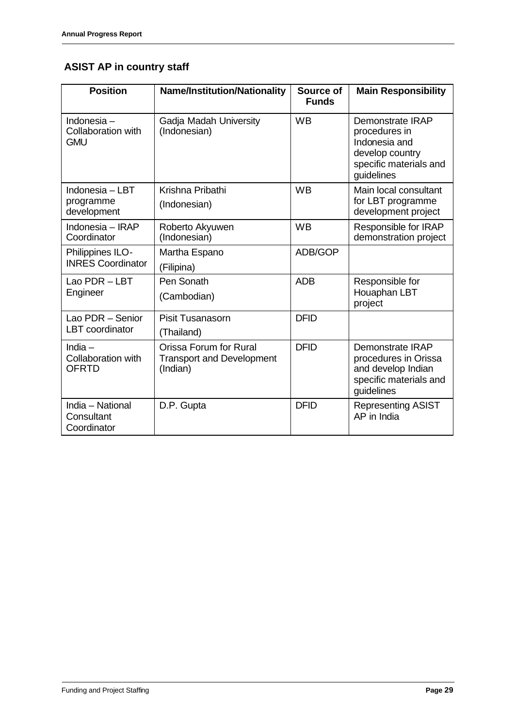# **ASIST AP in country staff**

| <b>Position</b>                                        | <b>Name/Institution/Nationality</b>                                    | Source of<br><b>Funds</b> | <b>Main Responsibility</b>                                                                                           |
|--------------------------------------------------------|------------------------------------------------------------------------|---------------------------|----------------------------------------------------------------------------------------------------------------------|
| Indonesia -<br><b>Collaboration with</b><br><b>GMU</b> | Gadja Madah University<br>(Indonesian)                                 | <b>WB</b>                 | <b>Demonstrate IRAP</b><br>procedures in<br>Indonesia and<br>develop country<br>specific materials and<br>guidelines |
| Indonesia – LBT<br>programme<br>development            | Krishna Pribathi<br>(Indonesian)                                       | <b>WB</b>                 | Main local consultant<br>for LBT programme<br>development project                                                    |
| Indonesia - IRAP<br>Coordinator                        | Roberto Akyuwen<br>(Indonesian)                                        | <b>WB</b>                 | Responsible for IRAP<br>demonstration project                                                                        |
| Philippines ILO-<br><b>INRES Coordinator</b>           | Martha Espano<br>(Filipina)                                            | ADB/GOP                   |                                                                                                                      |
| Lao PDR - LBT<br>Engineer                              | Pen Sonath<br>(Cambodian)                                              | <b>ADB</b>                | Responsible for<br>Houaphan LBT<br>project                                                                           |
| Lao PDR - Senior<br><b>LBT</b> coordinator             | <b>Pisit Tusanasorn</b><br>(Thailand)                                  | <b>DFID</b>               |                                                                                                                      |
| India $-$<br><b>Collaboration with</b><br><b>OFRTD</b> | Orissa Forum for Rural<br><b>Transport and Development</b><br>(Indian) | <b>DFID</b>               | <b>Demonstrate IRAP</b><br>procedures in Orissa<br>and develop Indian<br>specific materials and<br>guidelines        |
| India - National<br>Consultant<br>Coordinator          | D.P. Gupta                                                             | <b>DFID</b>               | <b>Representing ASIST</b><br>AP in India                                                                             |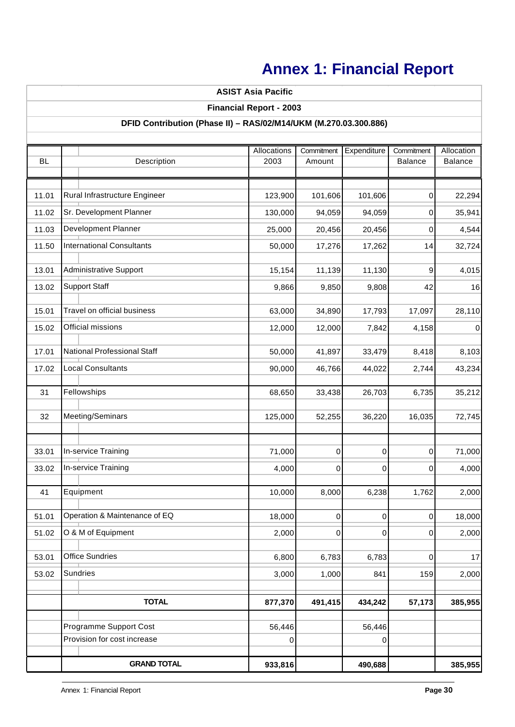# **Annex 1: Financial Report**

# Allocations | Commitment | Expenditure | Commitment | Allocation BL 2003 Amount Balance Balance 11.01 Rural Infrastructure Engineer | 123,900 | 101,606 | 0 | 22,294 11.02 Sr. Development Planner | 130,000 | 94,059 | 0 | 35,941 11.03 25,000 20,456 20,456 0 4,544 Development Planner 11.50 |International Consultants | 50,000| 17,276| 17,262| 14| 32,724 13.01 15,154 11,139 11,130 9 4,015 Administrative Support 13.02 |Support Staff | 9,866| 9,850| 9,808| 42| 16 15.01 63,000 34,890 17,793 17,097 28,110 Travel on official business 15.02 12,000 12,000 7,842 4,158 0 Official missions17.01 50,000 41,897 33,479 8,418 8,103 National Professional Staff 17.02 Local Consultants | 90,000 | 46,766 | 44,022 | 2,744 | 43,234 31 68,650 33,438 26,703 6,735 35,212 32 125,000 52,255 36,220 16,035 72,745 Meeting/Seminars 33.01 **|In-service Training |** 71,000**| 0| 0| 0| 71,000** 33.02 **|** In-service Training **|** 4,000 **|** 0 | 0 | 0 | 4,000 41 10,000 8,000 6,238 1,762 2,000 51.01 18,000 0 0 0 18,000 Operation & Maintenance of EQ 51.02 2,000 0 0 0 2,000 O & M of Equipment 53.01 Office Sundries | 6,800 | 6,783 | 6,783 | 0 | 17 53.02 Sundries 1,000 841| 159| 2,000 **877,370 491,415 434,242 57,173 385,955** 56,446 56,446 0 0 **933,816 490,688 385,955** Equipment **GRAND TOTAL** Provision for cost increase Programme Support Cost Sundries **TOTAL ASIST Asia Pacific DFID Contribution (Phase II) – RAS/02/M14/UKM (M.270.03.300.886)** Description **Financial Report - 2003** Fellowships Support Staff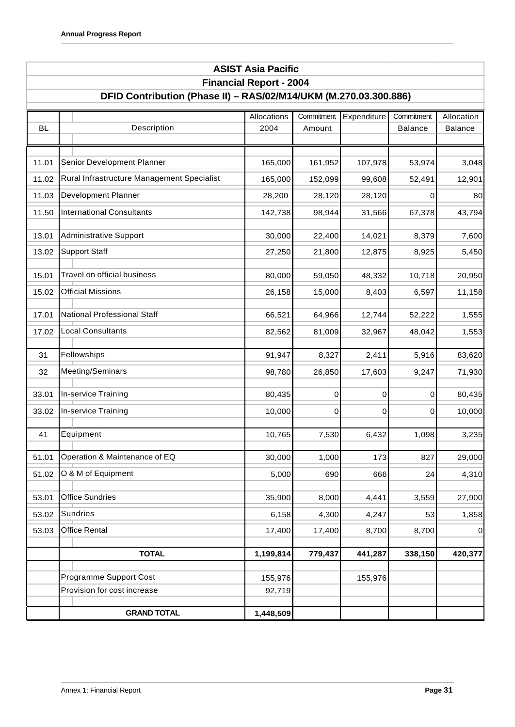|           | <b>ASIST Asia Pacific</b>                                                                          |                     |                      |             |                              |                              |  |  |
|-----------|----------------------------------------------------------------------------------------------------|---------------------|----------------------|-------------|------------------------------|------------------------------|--|--|
|           | <b>Financial Report - 2004</b><br>DFID Contribution (Phase II) - RAS/02/M14/UKM (M.270.03.300.886) |                     |                      |             |                              |                              |  |  |
|           |                                                                                                    |                     |                      |             |                              |                              |  |  |
| <b>BL</b> | Description                                                                                        | Allocations<br>2004 | Commitment<br>Amount | Expenditure | Commitment<br><b>Balance</b> | Allocation<br><b>Balance</b> |  |  |
|           |                                                                                                    |                     |                      |             |                              |                              |  |  |
| 11.01     | Senior Development Planner                                                                         | 165,000             | 161,952              | 107,978     | 53,974                       | 3,048                        |  |  |
| 11.02     | Rural Infrastructure Management Specialist                                                         | 165,000             | 152,099              | 99,608      | 52,491                       | 12,901                       |  |  |
| 11.03     | Development Planner                                                                                | 28,200              | 28,120               | 28,120      | 0                            | 80                           |  |  |
| 11.50     | <b>International Consultants</b>                                                                   | 142,738             | 98,944               | 31,566      | 67,378                       | 43,794                       |  |  |
|           |                                                                                                    |                     |                      |             |                              |                              |  |  |
| 13.01     | <b>Administrative Support</b>                                                                      | 30,000              | 22,400               | 14,021      | 8,379                        | 7,600                        |  |  |
| 13.02     | <b>Support Staff</b>                                                                               | 27,250              | 21,800               | 12,875      | 8,925                        | 5,450                        |  |  |
| 15.01     | Travel on official business                                                                        | 80,000              | 59,050               | 48,332      | 10,718                       | 20,950                       |  |  |
| 15.02     | <b>Official Missions</b>                                                                           | 26,158              | 15,000               | 8,403       | 6,597                        | 11,158                       |  |  |
| 17.01     | National Professional Staff                                                                        | 66,521              | 64,966               | 12,744      | 52,222                       | 1,555                        |  |  |
| 17.02     | <b>Local Consultants</b>                                                                           | 82,562              | 81,009               | 32,967      | 48,042                       | 1,553                        |  |  |
|           |                                                                                                    |                     |                      |             |                              |                              |  |  |
| 31        | Fellowships                                                                                        | 91,947              | 8,327                | 2,411       | 5,916                        | 83,620                       |  |  |
| 32        | Meeting/Seminars                                                                                   | 98,780              | 26,850               | 17,603      | 9,247                        | 71,930                       |  |  |
| 33.01     | In-service Training                                                                                | 80,435              | 0                    | 0           | 0                            | 80,435                       |  |  |
| 33.02     | In-service Training                                                                                | 10,000              | 0                    | 0           | 0                            | 10,000                       |  |  |
|           |                                                                                                    |                     |                      |             |                              |                              |  |  |
| 41        | Equipment                                                                                          | 10,765              | 7,530                | 6,432       | 1,098                        | 3,235                        |  |  |
| 51.01     | Operation & Maintenance of EQ                                                                      | 30,000              | 1,000                | 173         | 827                          | 29,000                       |  |  |
| 51.02     | O & M of Equipment                                                                                 | 5,000               | 690                  | 666         | 24                           | 4,310                        |  |  |
| 53.01     | <b>Office Sundries</b>                                                                             | 35,900              | 8,000                | 4,441       | 3,559                        | 27,900                       |  |  |
| 53.02     | <b>Sundries</b>                                                                                    | 6,158               | 4,300                | 4,247       | 53                           | 1,858                        |  |  |
| 53.03     | <b>Office Rental</b>                                                                               | 17,400              | 17,400               | 8,700       | 8,700                        | 0                            |  |  |
|           |                                                                                                    |                     |                      |             |                              |                              |  |  |
|           | <b>TOTAL</b>                                                                                       | 1,199,814           | 779,437              | 441,287     | 338,150                      | 420,377                      |  |  |
|           | Programme Support Cost                                                                             | 155,976             |                      | 155,976     |                              |                              |  |  |
|           | Provision for cost increase                                                                        | 92,719              |                      |             |                              |                              |  |  |
|           | <b>GRAND TOTAL</b>                                                                                 | 1,448,509           |                      |             |                              |                              |  |  |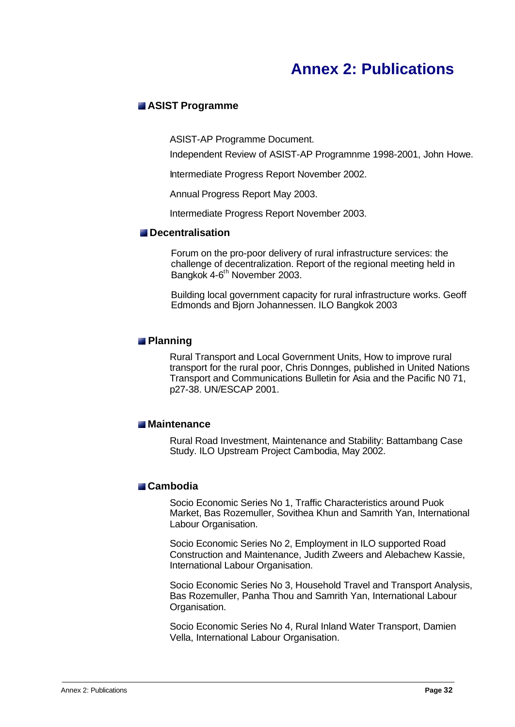# **Annex 2: Publications**

### **ASIST Programme**

ASIST-AP Programme Document.

Independent Review of ASIST-AP Programnme 1998-2001, John Howe.

Intermediate Progress Report November 2002.

Annual Progress Report May 2003.

Intermediate Progress Report November 2003.

#### **Decentralisation**

Forum on the pro-poor delivery of rural infrastructure services: the challenge of decentralization. Report of the regional meeting held in Bangkok 4-6<sup>th</sup> November 2003.

Building local government capacity for rural infrastructure works. Geoff Edmonds and Bjorn Johannessen. ILO Bangkok 2003

### **Planning**

Rural Transport and Local Government Units, How to improve rural transport for the rural poor, Chris Donnges, published in United Nations Transport and Communications Bulletin for Asia and the Pacific N0 71, p27-38. UN/ESCAP 2001.

### **Maintenance**

Rural Road Investment, Maintenance and Stability: Battambang Case Study. ILO Upstream Project Cambodia, May 2002.

### **Cambodia**

Socio Economic Series No 1, Traffic Characteristics around Puok Market, Bas Rozemuller, Sovithea Khun and Samrith Yan, International Labour Organisation.

Socio Economic Series No 2, Employment in ILO supported Road Construction and Maintenance, Judith Zweers and Alebachew Kassie, International Labour Organisation.

Socio Economic Series No 3, Household Travel and Transport Analysis, Bas Rozemuller, Panha Thou and Samrith Yan, International Labour Organisation.

Socio Economic Series No 4, Rural Inland Water Transport, Damien Vella, International Labour Organisation.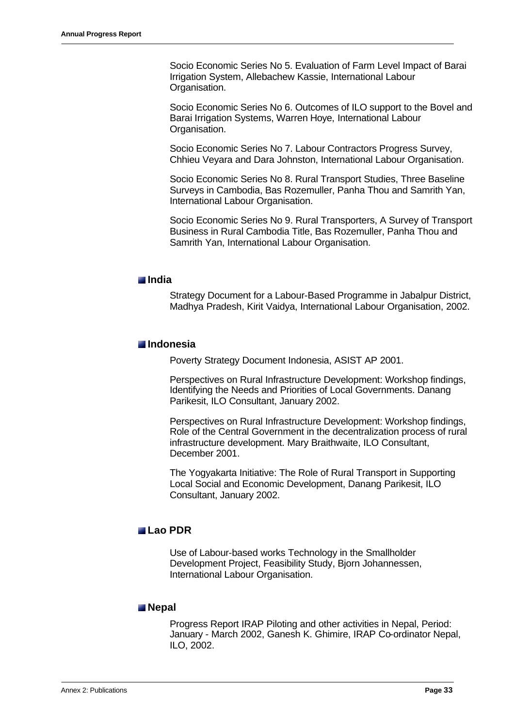Socio Economic Series No 5. Evaluation of Farm Level Impact of Barai Irrigation System, Allebachew Kassie, International Labour Organisation.

Socio Economic Series No 6. Outcomes of ILO support to the Bovel and Barai Irrigation Systems, Warren Hoye, International Labour Organisation.

Socio Economic Series No 7. Labour Contractors Progress Survey, Chhieu Veyara and Dara Johnston, International Labour Organisation.

Socio Economic Series No 8. Rural Transport Studies, Three Baseline Surveys in Cambodia, Bas Rozemuller, Panha Thou and Samrith Yan, International Labour Organisation.

Socio Economic Series No 9. Rural Transporters, A Survey of Transport Business in Rural Cambodia Title, Bas Rozemuller, Panha Thou and Samrith Yan, International Labour Organisation.

#### **India**

Strategy Document for a Labour-Based Programme in Jabalpur District, Madhya Pradesh, Kirit Vaidya, International Labour Organisation, 2002.

#### **Indonesia**

Poverty Strategy Document Indonesia, ASIST AP 2001.

Perspectives on Rural Infrastructure Development: Workshop findings, Identifying the Needs and Priorities of Local Governments. Danang Parikesit, ILO Consultant, January 2002.

Perspectives on Rural Infrastructure Development: Workshop findings, Role of the Central Government in the decentralization process of rural infrastructure development. Mary Braithwaite, ILO Consultant, December 2001.

The Yogyakarta Initiative: The Role of Rural Transport in Supporting Local Social and Economic Development, Danang Parikesit, ILO Consultant, January 2002.

### **Lao PDR**

Use of Labour-based works Technology in the Smallholder Development Project, Feasibility Study, Bjorn Johannessen, International Labour Organisation.

#### **Nepal**

Progress Report IRAP Piloting and other activities in Nepal, Period: January - March 2002, Ganesh K. Ghimire, IRAP Co-ordinator Nepal, ILO, 2002.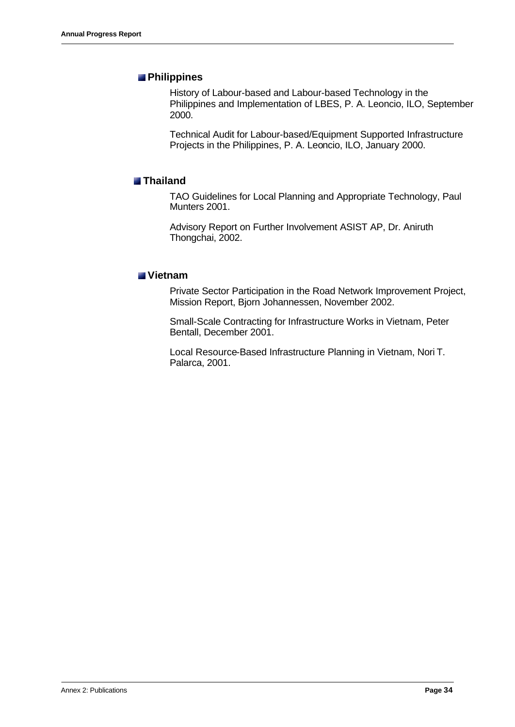### **Philippines**

History of Labour-based and Labour-based Technology in the Philippines and Implementation of LBES, P. A. Leoncio, ILO, September 2000.

Technical Audit for Labour-based/Equipment Supported Infrastructure Projects in the Philippines, P. A. Leoncio, ILO, January 2000.

### **Thailand**

TAO Guidelines for Local Planning and Appropriate Technology, Paul Munters 2001.

Advisory Report on Further Involvement ASIST AP, Dr. Aniruth Thongchai, 2002.

### **Vietnam**

Private Sector Participation in the Road Network Improvement Project, Mission Report, Bjorn Johannessen, November 2002.

Small-Scale Contracting for Infrastructure Works in Vietnam, Peter Bentall, December 2001.

Local Resource-Based Infrastructure Planning in Vietnam, Nori T. Palarca, 2001.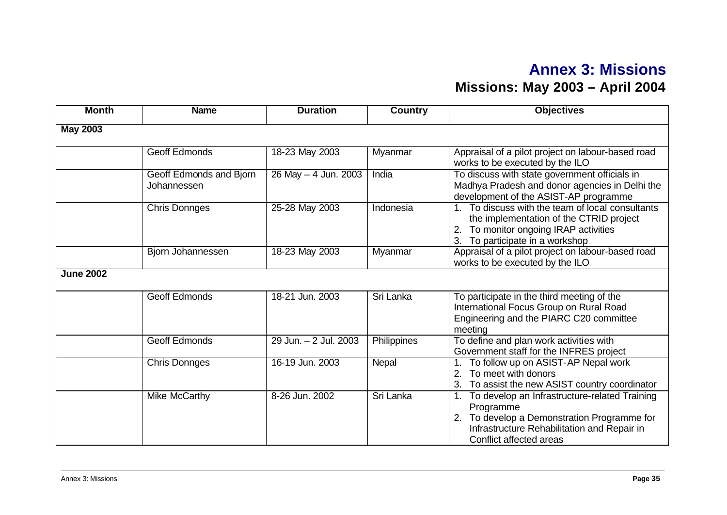# **Annex 3: Missions Missions: May 2003 – April 2004**

| <b>Month</b>     | <b>Name</b>                            | <b>Duration</b>       | <b>Country</b> | <b>Objectives</b>                                                                                                                                                                   |
|------------------|----------------------------------------|-----------------------|----------------|-------------------------------------------------------------------------------------------------------------------------------------------------------------------------------------|
| <b>May 2003</b>  |                                        |                       |                |                                                                                                                                                                                     |
|                  |                                        |                       |                |                                                                                                                                                                                     |
|                  | <b>Geoff Edmonds</b>                   | 18-23 May 2003        | Myanmar        | Appraisal of a pilot project on labour-based road<br>works to be executed by the ILO                                                                                                |
|                  | Geoff Edmonds and Bjorn<br>Johannessen | 26 May - 4 Jun. 2003  | India          | To discuss with state government officials in<br>Madhya Pradesh and donor agencies in Delhi the<br>development of the ASIST-AP programme                                            |
|                  | <b>Chris Donnges</b>                   | 25-28 May 2003        | Indonesia      | 1. To discuss with the team of local consultants<br>the implementation of the CTRID project<br>To monitor ongoing IRAP activities<br>To participate in a workshop<br>3.             |
|                  | Bjorn Johannessen                      | 18-23 May 2003        | Myanmar        | Appraisal of a pilot project on labour-based road<br>works to be executed by the ILO                                                                                                |
| <b>June 2002</b> |                                        |                       |                |                                                                                                                                                                                     |
|                  | <b>Geoff Edmonds</b>                   | 18-21 Jun. 2003       | Sri Lanka      | To participate in the third meeting of the<br>International Focus Group on Rural Road<br>Engineering and the PIARC C20 committee<br>meeting                                         |
|                  | <b>Geoff Edmonds</b>                   | 29 Jun. - 2 Jul. 2003 | Philippines    | To define and plan work activities with<br>Government staff for the INFRES project                                                                                                  |
|                  | <b>Chris Donnges</b>                   | 16-19 Jun. 2003       | Nepal          | To follow up on ASIST-AP Nepal work<br>1.<br>To meet with donors<br>To assist the new ASIST country coordinator<br>3.                                                               |
|                  | Mike McCarthy                          | 8-26 Jun. 2002        | Sri Lanka      | To develop an Infrastructure-related Training<br>Programme<br>2. To develop a Demonstration Programme for<br>Infrastructure Rehabilitation and Repair in<br>Conflict affected areas |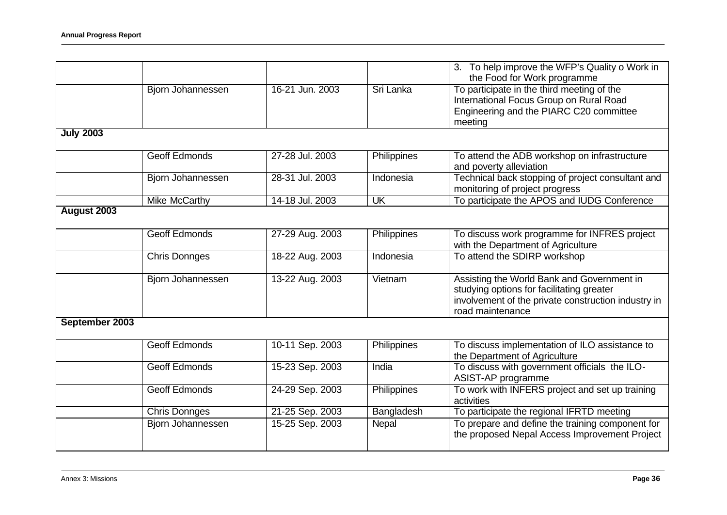|                  |                      |                 |                         | 3. To help improve the WFP's Quality o Work in      |
|------------------|----------------------|-----------------|-------------------------|-----------------------------------------------------|
|                  |                      |                 |                         | the Food for Work programme                         |
|                  | Bjorn Johannessen    | 16-21 Jun. 2003 | Sri Lanka               | To participate in the third meeting of the          |
|                  |                      |                 |                         | International Focus Group on Rural Road             |
|                  |                      |                 |                         | Engineering and the PIARC C20 committee             |
|                  |                      |                 |                         | meeting                                             |
| <b>July 2003</b> |                      |                 |                         |                                                     |
|                  |                      |                 |                         |                                                     |
|                  | <b>Geoff Edmonds</b> | 27-28 Jul. 2003 | Philippines             | To attend the ADB workshop on infrastructure        |
|                  |                      |                 |                         | and poverty alleviation                             |
|                  | Bjorn Johannessen    | 28-31 Jul. 2003 | Indonesia               | Technical back stopping of project consultant and   |
|                  |                      |                 |                         | monitoring of project progress                      |
|                  | <b>Mike McCarthy</b> | 14-18 Jul. 2003 | $\overline{\mathsf{U}}$ | To participate the APOS and IUDG Conference         |
| August 2003      |                      |                 |                         |                                                     |
|                  |                      |                 |                         |                                                     |
|                  | <b>Geoff Edmonds</b> | 27-29 Aug. 2003 | Philippines             | To discuss work programme for INFRES project        |
|                  |                      |                 |                         | with the Department of Agriculture                  |
|                  | <b>Chris Donnges</b> | 18-22 Aug. 2003 | Indonesia               | To attend the SDIRP workshop                        |
|                  |                      |                 |                         |                                                     |
|                  | Bjorn Johannessen    | 13-22 Aug. 2003 | Vietnam                 | Assisting the World Bank and Government in          |
|                  |                      |                 |                         | studying options for facilitating greater           |
|                  |                      |                 |                         | involvement of the private construction industry in |
|                  |                      |                 |                         | road maintenance                                    |
| September 2003   |                      |                 |                         |                                                     |
|                  |                      |                 |                         |                                                     |
|                  | <b>Geoff Edmonds</b> | 10-11 Sep. 2003 | Philippines             | To discuss implementation of ILO assistance to      |
|                  |                      |                 |                         | the Department of Agriculture                       |
|                  | <b>Geoff Edmonds</b> | 15-23 Sep. 2003 | India                   | To discuss with government officials the ILO-       |
|                  |                      |                 |                         | ASIST-AP programme                                  |
|                  | <b>Geoff Edmonds</b> | 24-29 Sep. 2003 | Philippines             | To work with INFERS project and set up training     |
|                  |                      |                 |                         | activities                                          |
|                  | Chris Donnges        | 21-25 Sep. 2003 | Bangladesh              | To participate the regional IFRTD meeting           |
|                  | Bjorn Johannessen    | 15-25 Sep. 2003 | Nepal                   | To prepare and define the training component for    |
|                  |                      |                 |                         | the proposed Nepal Access Improvement Project       |
|                  |                      |                 |                         |                                                     |
|                  |                      |                 |                         |                                                     |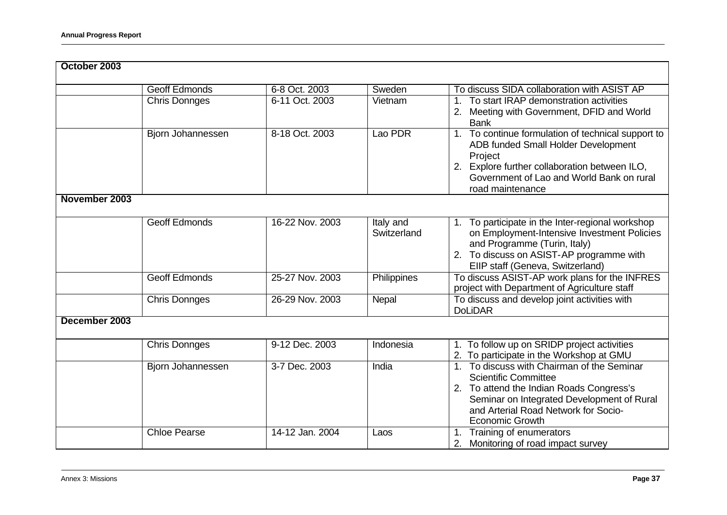| October 2003  |                      |                 |                          |                                                                                                                                                                                                                                       |
|---------------|----------------------|-----------------|--------------------------|---------------------------------------------------------------------------------------------------------------------------------------------------------------------------------------------------------------------------------------|
|               | <b>Geoff Edmonds</b> | 6-8 Oct. 2003   | Sweden                   | To discuss SIDA collaboration with ASIST AP                                                                                                                                                                                           |
|               | <b>Chris Donnges</b> | 6-11 Oct. 2003  | Vietnam                  | To start IRAP demonstration activities<br>1.<br>2. Meeting with Government, DFID and World<br><b>Bank</b>                                                                                                                             |
|               | Bjorn Johannessen    | 8-18 Oct. 2003  | Lao PDR                  | 1. To continue formulation of technical support to<br>ADB funded Small Holder Development<br>Project<br>2. Explore further collaboration between ILO,<br>Government of Lao and World Bank on rural<br>road maintenance                |
| November 2003 |                      |                 |                          |                                                                                                                                                                                                                                       |
|               | <b>Geoff Edmonds</b> | 16-22 Nov. 2003 | Italy and<br>Switzerland | 1. To participate in the Inter-regional workshop<br>on Employment-Intensive Investment Policies<br>and Programme (Turin, Italy)<br>2. To discuss on ASIST-AP programme with<br>EIIP staff (Geneva, Switzerland)                       |
|               | <b>Geoff Edmonds</b> | 25-27 Nov. 2003 | <b>Philippines</b>       | To discuss ASIST-AP work plans for the INFRES<br>project with Department of Agriculture staff                                                                                                                                         |
|               | <b>Chris Donnges</b> | 26-29 Nov. 2003 | Nepal                    | To discuss and develop joint activities with<br><b>DoLiDAR</b>                                                                                                                                                                        |
| December 2003 |                      |                 |                          |                                                                                                                                                                                                                                       |
|               | <b>Chris Donnges</b> | 9-12 Dec. 2003  | Indonesia                | 1. To follow up on SRIDP project activities<br>2. To participate in the Workshop at GMU                                                                                                                                               |
|               | Bjorn Johannessen    | 3-7 Dec. 2003   | India                    | 1. To discuss with Chairman of the Seminar<br><b>Scientific Committee</b><br>2. To attend the Indian Roads Congress's<br>Seminar on Integrated Development of Rural<br>and Arterial Road Network for Socio-<br><b>Economic Growth</b> |
|               | <b>Chloe Pearse</b>  | 14-12 Jan. 2004 | Laos                     | 1. Training of enumerators<br>2. Monitoring of road impact survey                                                                                                                                                                     |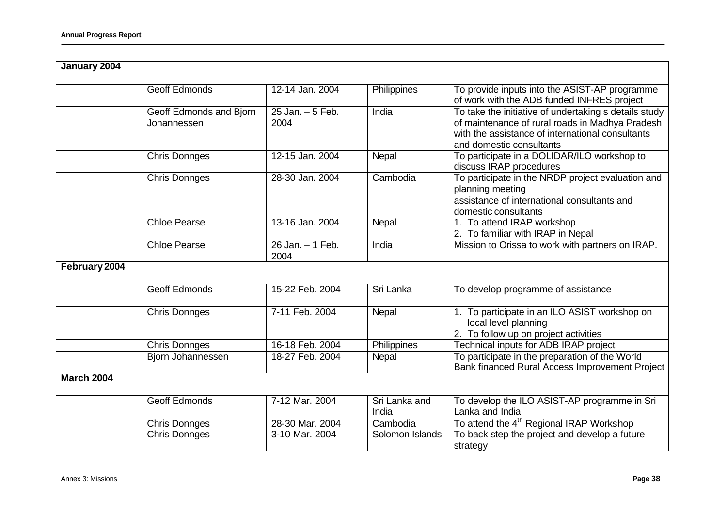| January 2004                           |                             |                        |                                                                                                                                                                                          |
|----------------------------------------|-----------------------------|------------------------|------------------------------------------------------------------------------------------------------------------------------------------------------------------------------------------|
| <b>Geoff Edmonds</b>                   | 12-14 Jan. 2004             | <b>Philippines</b>     | To provide inputs into the ASIST-AP programme<br>of work with the ADB funded INFRES project                                                                                              |
| Geoff Edmonds and Bjorn<br>Johannessen | $25$ Jan. $-5$ Feb.<br>2004 | India                  | To take the initiative of undertaking s details study<br>of maintenance of rural roads in Madhya Pradesh<br>with the assistance of international consultants<br>and domestic consultants |
| <b>Chris Donnges</b>                   | 12-15 Jan. 2004             | Nepal                  | To participate in a DOLIDAR/ILO workshop to<br>discuss IRAP procedures                                                                                                                   |
| <b>Chris Donnges</b>                   | 28-30 Jan. 2004             | Cambodia               | To participate in the NRDP project evaluation and<br>planning meeting                                                                                                                    |
|                                        |                             |                        | assistance of international consultants and<br>domestic consultants                                                                                                                      |
| <b>Chloe Pearse</b>                    | 13-16 Jan. 2004             | Nepal                  | 1. To attend IRAP workshop<br>2. To familiar with IRAP in Nepal                                                                                                                          |
| <b>Chloe Pearse</b>                    | 26 Jan. - 1 Feb.<br>2004    | India                  | Mission to Orissa to work with partners on IRAP.                                                                                                                                         |
| February 2004                          |                             |                        |                                                                                                                                                                                          |
| <b>Geoff Edmonds</b>                   | 15-22 Feb. 2004             | Sri Lanka              | To develop programme of assistance                                                                                                                                                       |
| <b>Chris Donnges</b>                   | 7-11 Feb. 2004              | Nepal                  | 1. To participate in an ILO ASIST workshop on<br>local level planning<br>2. To follow up on project activities                                                                           |
| <b>Chris Donnges</b>                   | 16-18 Feb. 2004             | Philippines            | Technical inputs for ADB IRAP project                                                                                                                                                    |
| Bjorn Johannessen                      | 18-27 Feb. 2004             | Nepal                  | To participate in the preparation of the World<br>Bank financed Rural Access Improvement Project                                                                                         |
| <b>March 2004</b>                      |                             |                        |                                                                                                                                                                                          |
| <b>Geoff Edmonds</b>                   | 7-12 Mar. 2004              | Sri Lanka and<br>India | To develop the ILO ASIST-AP programme in Sri<br>Lanka and India                                                                                                                          |
| <b>Chris Donnges</b>                   | 28-30 Mar. 2004             | Cambodia               | To attend the 4 <sup>th</sup> Regional IRAP Workshop                                                                                                                                     |
| <b>Chris Donnges</b>                   | 3-10 Mar. 2004              | Solomon Islands        | To back step the project and develop a future<br>strategy                                                                                                                                |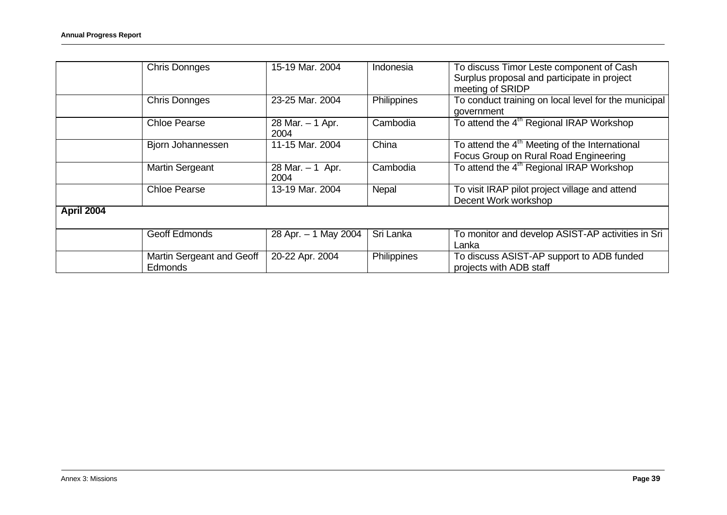|            | <b>Chris Donnges</b>                 | 15-19 Mar. 2004           | Indonesia   | To discuss Timor Leste component of Cash<br>Surplus proposal and participate in project<br>meeting of SRIDP |
|------------|--------------------------------------|---------------------------|-------------|-------------------------------------------------------------------------------------------------------------|
|            | <b>Chris Donnges</b>                 | 23-25 Mar. 2004           | Philippines | To conduct training on local level for the municipal<br>government                                          |
|            | <b>Chloe Pearse</b>                  | 28 Mar. - 1 Apr.<br>2004  | Cambodia    | To attend the 4 <sup>th</sup> Regional IRAP Workshop                                                        |
|            | Bjorn Johannessen                    | 11-15 Mar. 2004           | China       | To attend the 4 <sup>th</sup> Meeting of the International<br>Focus Group on Rural Road Engineering         |
|            | <b>Martin Sergeant</b>               | 28 Mar. $-1$ Apr.<br>2004 | Cambodia    | To attend the 4 <sup>th</sup> Regional IRAP Workshop                                                        |
|            | <b>Chloe Pearse</b>                  | 13-19 Mar. 2004           | Nepal       | To visit IRAP pilot project village and attend<br>Decent Work workshop                                      |
| April 2004 |                                      |                           |             |                                                                                                             |
|            | <b>Geoff Edmonds</b>                 | 28 Apr. - 1 May 2004      | Sri Lanka   | To monitor and develop ASIST-AP activities in Sri<br>Lanka                                                  |
|            | Martin Sergeant and Geoff<br>Edmonds | 20-22 Apr. 2004           | Philippines | To discuss ASIST-AP support to ADB funded<br>projects with ADB staff                                        |